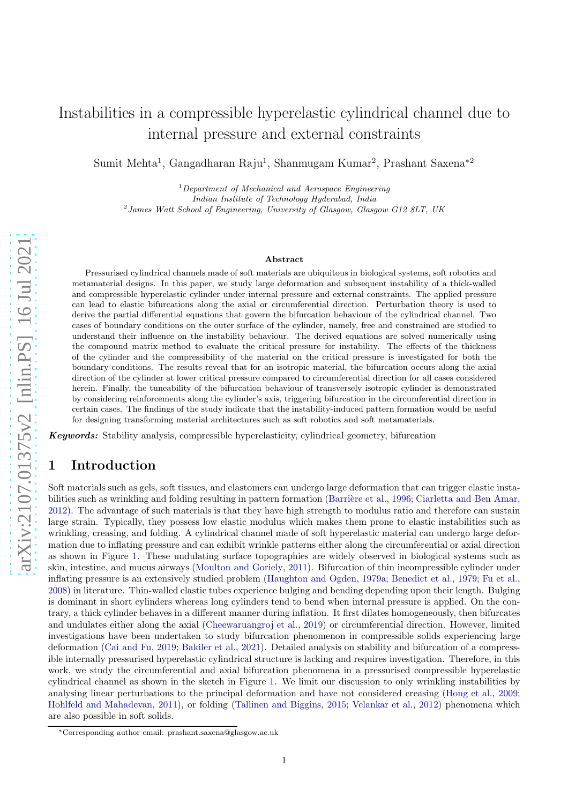# Instabilities in a compressible hyperelastic cylindrical channel due to internal pressure and external constraints

Sumit Mehta<sup>1</sup>, Gangadharan Raju<sup>1</sup>, Shanmugam Kumar<sup>2</sup>, Prashant Saxena<sup>\*2</sup>

 $1$ Department of Mechanical and Aerospace Engineering Indian Institute of Technology Hyderabad, India <sup>2</sup> James Watt School of Engineering, University of Glasgow, Glasgow G12 8LT, UK

#### Abstract

Pressurised cylindrical channels made of soft materials are ubiquitous in biological systems, soft robotics and metamaterial designs. In this paper, we study large deformation and subsequent instability of a thick-walled and compressible hyperelastic cylinder under internal pressure and external constraints. The applied pressure can lead to elastic bifurcations along the axial or circumferential direction. Perturbation theory is used to derive the partial differential equations that govern the bifurcation behaviour of the cylindrical channel. Two cases of boundary conditions on the outer surface of the cylinder, namely, free and constrained are studied to understand their influence on the instability behaviour. The derived equations are solved numerically using the compound matrix method to evaluate the critical pressure for instability. The effects of the thickness of the cylinder and the compressibility of the material on the critical pressure is investigated for both the boundary conditions. The results reveal that for an isotropic material, the bifurcation occurs along the axial direction of the cylinder at lower critical pressure compared to circumferential direction for all cases considered herein. Finally, the tuneability of the bifurcation behaviour of transversely isotropic cylinder is demonstrated by considering reinforcements along the cylinder's axis, triggering bifurcation in the circumferential direction in certain cases. The findings of the study indicate that the instability-induced pattern formation would be useful for designing transforming material architectures such as soft robotics and soft metamaterials.

Keywords: Stability analysis, compressible hyperelasticity, cylindrical geometry, bifurcation

# 1 Introduction

Soft materials such as gels, soft tissues, and elastomers can undergo large deformation that can trigger elastic insta-bilities such as wrinkling and folding resulting in pattern formation (Barrière et al., [1996;](#page-16-0) [Ciarletta and Ben Amar](#page-16-1), [2012\)](#page-16-1). The advantage of such materials is that they have high strength to modulus ratio and therefore can sustain large strain. Typically, they possess low elastic modulus which makes them prone to elastic instabilities such as wrinkling, creasing, and folding. A cylindrical channel made of soft hyperelastic material can undergo large deformation due to inflating pressure and can exhibit wrinkle patterns either along the circumferential or axial direction as shown in Figure [1.](#page-1-0) These undulating surface topographies are widely observed in biological systems such as skin, intestine, and mucus airways [\(Moulton and Goriely](#page-17-0), [2011\)](#page-17-0). Bifurcation of thin incompressible cylinder under inflating pressure is an extensively studied problem [\(Haughton and Ogden](#page-17-1), [1979a;](#page-17-1) [Benedict et al.,](#page-16-2) [1979;](#page-16-2) [Fu et al.](#page-16-3), [2008\)](#page-16-3) in literature. Thin-walled elastic tubes experience bulging and bending depending upon their length. Bulging is dominant in short cylinders whereas long cylinders tend to bend when internal pressure is applied. On the contrary, a thick cylinder behaves in a different manner during inflation. It first dilates homogeneously, then bifurcates and undulates either along the axial [\(Cheewaruangroj et al.](#page-16-4), [2019](#page-16-4)) or circumferential direction. However, limited investigations have been undertaken to study bifurcation phenomenon in compressible solids experiencing large deformation [\(Cai and Fu,](#page-16-5) [2019;](#page-16-5) [Bakiler et al.,](#page-16-6) [2021\)](#page-16-6). Detailed analysis on stability and bifurcation of a compressible internally pressurised hyperelastic cylindrical structure is lacking and requires investigation. Therefore, in this work, we study the circumferential and axial bifurcation phenomena in a pressurised compressible hyperelastic cylindrical channel as shown in the sketch in Figure [1.](#page-1-0) We limit our discussion to only wrinkling instabilities by analysing linear perturbations to the principal deformation and have not considered creasing [\(Hong et al.,](#page-17-2) [2009](#page-17-2); [Hohlfeld and Mahadevan,](#page-17-3) [2011\)](#page-17-3), or folding [\(Tallinen and Biggins](#page-17-4), [2015;](#page-17-4) [Velankar et al.,](#page-17-5) [2012](#page-17-5)) phenomena which are also possible in soft solids.

<sup>∗</sup>Corresponding author email: prashant.saxena@glasgow.ac.uk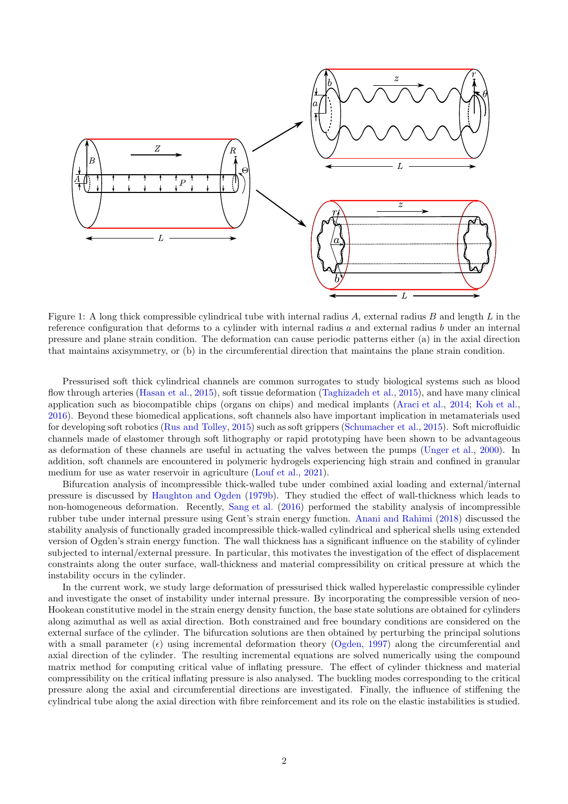

<span id="page-1-0"></span>Figure 1: A long thick compressible cylindrical tube with internal radius A, external radius B and length  $L$  in the reference configuration that deforms to a cylinder with internal radius  $a$  and external radius  $b$  under an internal pressure and plane strain condition. The deformation can cause periodic patterns either (a) in the axial direction that maintains axisymmetry, or (b) in the circumferential direction that maintains the plane strain condition.

Pressurised soft thick cylindrical channels are common surrogates to study biological systems such as blood flow through arteries [\(Hasan et al.](#page-17-6), [2015\)](#page-17-6), soft tissue deformation [\(Taghizadeh et al.](#page-17-7), [2015\)](#page-17-7), and have many clinical application such as biocompatible chips (organs on chips) and medical implants [\(Araci et al.,](#page-16-7) [2014;](#page-16-7) [Koh et al.](#page-17-8), [2016\)](#page-17-8). Beyond these biomedical applications, soft channels also have important implication in metamaterials used for developing soft robotics [\(Rus and Tolley,](#page-17-9) [2015\)](#page-17-9) such as soft grippers [\(Schumacher et al.](#page-17-10), [2015\)](#page-17-10). Soft microfluidic channels made of elastomer through soft lithography or rapid prototyping have been shown to be advantageous as deformation of these channels are useful in actuating the valves between the pumps [\(Unger et al.,](#page-17-11) [2000\)](#page-17-11). In addition, soft channels are encountered in polymeric hydrogels experiencing high strain and confined in granular medium for use as water reservoir in agriculture [\(Louf et al.](#page-17-12), [2021\)](#page-17-12).

Bifurcation analysis of incompressible thick-walled tube under combined axial loading and external/internal pressure is discussed by [Haughton and Ogden](#page-17-13) [\(1979b\)](#page-17-13). They studied the effect of wall-thickness which leads to non-homogeneous deformation. Recently, [Sang et al.](#page-17-14) [\(2016\)](#page-17-14) performed the stability analysis of incompressible rubber tube under internal pressure using Gent's strain energy function. [Anani and Rahimi](#page-16-8) [\(2018](#page-16-8)) discussed the stability analysis of functionally graded incompressible thick-walled cylindrical and spherical shells using extended version of Ogden's strain energy function. The wall thickness has a significant influence on the stability of cylinder subjected to internal/external pressure. In particular, this motivates the investigation of the effect of displacement constraints along the outer surface, wall-thickness and material compressibility on critical pressure at which the instability occurs in the cylinder.

In the current work, we study large deformation of pressurised thick walled hyperelastic compressible cylinder and investigate the onset of instability under internal pressure. By incorporating the compressible version of neo-Hookean constitutive model in the strain energy density function, the base state solutions are obtained for cylinders along azimuthal as well as axial direction. Both constrained and free boundary conditions are considered on the external surface of the cylinder. The bifurcation solutions are then obtained by perturbing the principal solutions with a small parameter  $(\epsilon)$  using incremental deformation theory [\(Ogden,](#page-17-15) [1997\)](#page-17-15) along the circumferential and axial direction of the cylinder. The resulting incremental equations are solved numerically using the compound matrix method for computing critical value of inflating pressure. The effect of cylinder thickness and material compressibility on the critical inflating pressure is also analysed. The buckling modes corresponding to the critical pressure along the axial and circumferential directions are investigated. Finally, the influence of stiffening the cylindrical tube along the axial direction with fibre reinforcement and its role on the elastic instabilities is studied.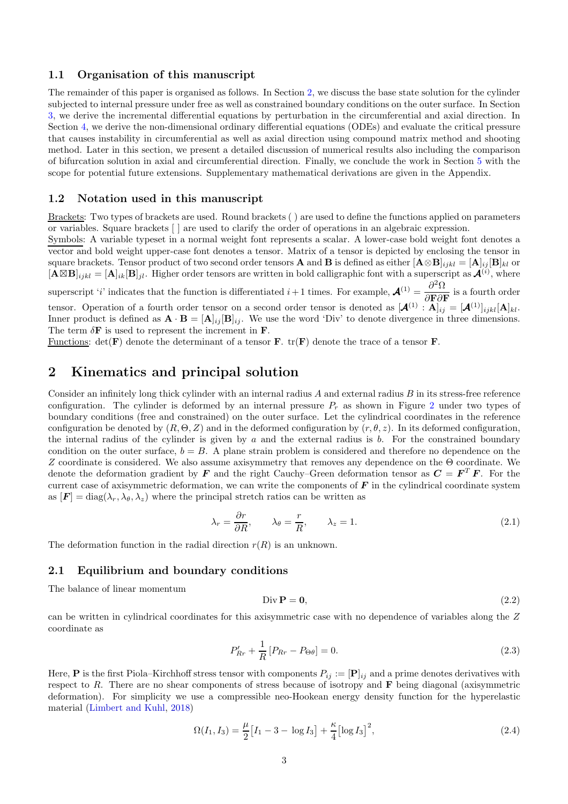### 1.1 Organisation of this manuscript

The remainder of this paper is organised as follows. In Section [2,](#page-2-0) we discuss the base state solution for the cylinder subjected to internal pressure under free as well as constrained boundary conditions on the outer surface. In Section [3,](#page-6-0) we derive the incremental differential equations by perturbation in the circumferential and axial direction. In Section [4,](#page-9-0) we derive the non-dimensional ordinary differential equations (ODEs) and evaluate the critical pressure that causes instability in circumferential as well as axial direction using compound matrix method and shooting method. Later in this section, we present a detailed discussion of numerical results also including the comparison of bifurcation solution in axial and circumferential direction. Finally, we conclude the work in Section [5](#page-14-0) with the scope for potential future extensions. Supplementary mathematical derivations are given in the Appendix.

#### 1.2 Notation used in this manuscript

Brackets: Two types of brackets are used. Round brackets ( ) are used to define the functions applied on parameters or variables. Square brackets [ ] are used to clarify the order of operations in an algebraic expression.

Symbols: A variable typeset in a normal weight font represents a scalar. A lower-case bold weight font denotes a vector and bold weight upper-case font denotes a tensor. Matrix of a tensor is depicted by enclosing the tensor in square brackets. Tensor product of two second order tensors **A** and **B** is defined as either  $[\mathbf{A} \otimes \mathbf{B}]_{ijkl} = [\mathbf{A}]_{ij} [\mathbf{B}]_{kl}$  or  $[\mathbf{A} \boxtimes \mathbf{B}]_{ijkl} = [\mathbf{A}]_{ik} [\mathbf{B}]_{jl}$ . Higher order tensors are written in bold calligraphic font with a superscript as  $\mathbf{A}^{(i)}$ , where

superscript 'i' indicates that the function is differentiated  $i+1$  times. For example,  $\mathcal{A}^{(1)} = \frac{\partial^2 \Omega}{\partial \mathbf{D} \partial \mathbf{I}}$  $\frac{\partial^2 G}{\partial \mathbf{F} \partial \mathbf{F}}$  is a fourth order tensor. Operation of a fourth order tensor on a second order tensor is denoted as  $[\mathcal{A}^{(1)} : A]_{ij} = [\mathcal{A}^{(1)}]_{ijkl} [A]_{kl}$ . Inner product is defined as  $\mathbf{A} \cdot \mathbf{B} = [\mathbf{A}]_{ij} [\mathbf{B}]_{ij}$ . We use the word 'Div' to denote divergence in three dimensions. The term  $\delta \mathbf{F}$  is used to represent the increment in  $\mathbf{F}$ .

Functions:  $det(\mathbf{F})$  denote the determinant of a tensor **F**. tr(**F**) denote the trace of a tensor **F**.

# <span id="page-2-0"></span>2 Kinematics and principal solution

Consider an infinitely long thick cylinder with an internal radius  $A$  and external radius  $B$  in its stress-free reference configuration. The cylinder is deformed by an internal pressure  $P_r$  as shown in Figure [2](#page-3-0) under two types of boundary conditions (free and constrained) on the outer surface. Let the cylindrical coordinates in the reference configuration be denoted by  $(R, \Theta, Z)$  and in the deformed configuration by  $(r, \theta, z)$ . In its deformed configuration, the internal radius of the cylinder is given by  $a$  and the external radius is  $b$ . For the constrained boundary condition on the outer surface,  $b = B$ . A plane strain problem is considered and therefore no dependence on the Z coordinate is considered. We also assume axisymmetry that removes any dependence on the Θ coordinate. We denote the deformation gradient by  $\bm{F}$  and the right Cauchy–Green deformation tensor as  $\bm{C} = \bm{F}^T \bm{F}$ . For the current case of axisymmetric deformation, we can write the components of  $\bf{F}$  in the cylindrical coordinate system as  $[F] = \text{diag}(\lambda_r, \lambda_\theta, \lambda_z)$  where the principal stretch ratios can be written as

$$
\lambda_r = \frac{\partial r}{\partial R}, \qquad \lambda_\theta = \frac{r}{R}, \qquad \lambda_z = 1. \tag{2.1}
$$

The deformation function in the radial direction  $r(R)$  is an unknown.

#### 2.1 Equilibrium and boundary conditions

The balance of linear momentum

<span id="page-2-2"></span>
$$
\text{Div }\mathbf{P} = \mathbf{0},\tag{2.2}
$$

can be written in cylindrical coordinates for this axisymmetric case with no dependence of variables along the Z coordinate as

$$
P'_{Rr} + \frac{1}{R} [P_{Rr} - P_{\Theta\theta}] = 0.
$$
\n(2.3)

Here, **P** is the first Piola–Kirchhoff stress tensor with components  $P_{ij} := [\mathbf{P}]_{ij}$  and a prime denotes derivatives with respect to R. There are no shear components of stress because of isotropy and  $\bf{F}$  being diagonal (axisymmetric deformation). For simplicity we use a compressible neo-Hookean energy density function for the hyperelastic material [\(Limbert and Kuhl,](#page-17-16) [2018\)](#page-17-16)

<span id="page-2-1"></span>
$$
\Omega(I_1, I_3) = \frac{\mu}{2} \left[ I_1 - 3 - \log I_3 \right] + \frac{\kappa}{4} \left[ \log I_3 \right]^2,\tag{2.4}
$$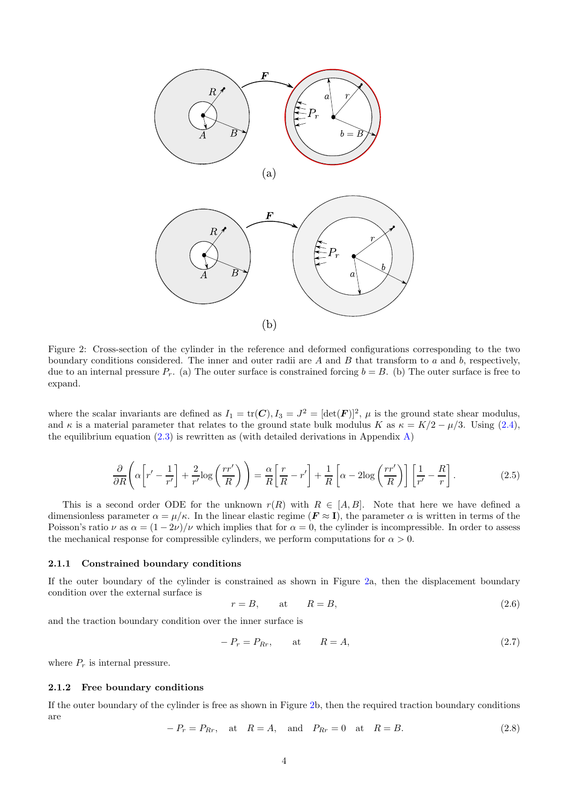

<span id="page-3-0"></span>Figure 2: Cross-section of the cylinder in the reference and deformed configurations corresponding to the two boundary conditions considered. The inner and outer radii are  $A$  and  $B$  that transform to  $a$  and  $b$ , respectively, due to an internal pressure  $P_r$ . (a) The outer surface is constrained forcing  $b = B$ . (b) The outer surface is free to expand.

where the scalar invariants are defined as  $I_1 = \text{tr}(\mathbf{C}), I_3 = J^2 = [\text{det}(\mathbf{F})]^2$ ,  $\mu$  is the ground state shear modulus, and  $\kappa$  is a material parameter that relates to the ground state bulk modulus K as  $\kappa = K/2 - \mu/3$ . Using [\(2.4\)](#page-2-1), the equilibrium equation  $(2.3)$  is rewritten as (with detailed derivations in Appendix [A\)](#page-18-0)

$$
\frac{\partial}{\partial R}\left(\alpha\left[r'-\frac{1}{r'}\right]+\frac{2}{r'}\log\left(\frac{rr'}{R}\right)\right)=\frac{\alpha}{R}\left[\frac{r}{R}-r'\right]+\frac{1}{R}\left[\alpha-2\log\left(\frac{rr'}{R}\right)\right]\left[\frac{1}{r'}-\frac{R}{r}\right].
$$
\n(2.5)

This is a second order ODE for the unknown  $r(R)$  with  $R \in [A, B]$ . Note that here we have defined a dimensionless parameter  $\alpha = \mu/\kappa$ . In the linear elastic regime  $(F \approx I)$ , the parameter  $\alpha$  is written in terms of the Poisson's ratio  $\nu$  as  $\alpha = (1 - 2\nu)/\nu$  which implies that for  $\alpha = 0$ , the cylinder is incompressible. In order to assess the mechanical response for compressible cylinders, we perform computations for  $\alpha > 0$ .

#### 2.1.1 Constrained boundary conditions

If the outer boundary of the cylinder is constrained as shown in Figure [2a](#page-3-0), then the displacement boundary condition over the external surface is

<span id="page-3-1"></span>
$$
r = B, \qquad \text{at} \qquad R = B,\tag{2.6}
$$

and the traction boundary condition over the inner surface is

$$
-P_r = P_{Rr}, \qquad \text{at} \qquad R = A,\tag{2.7}
$$

where  $P_r$  is internal pressure.

#### 2.1.2 Free boundary conditions

If the outer boundary of the cylinder is free as shown in Figure [2b](#page-3-0), then the required traction boundary conditions are

$$
-P_r = P_{Rr}, \quad \text{at} \quad R = A, \quad \text{and} \quad P_{Rr} = 0 \quad \text{at} \quad R = B. \tag{2.8}
$$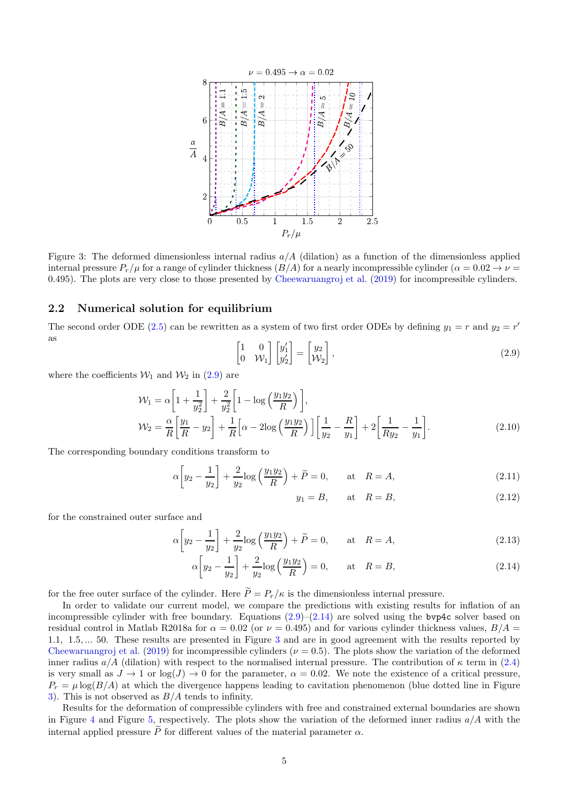

<span id="page-4-2"></span>Figure 3: The deformed dimensionless internal radius  $a/A$  (dilation) as a function of the dimensionless applied internal pressure  $P_r/\mu$  for a range of cylinder thickness  $(B/A)$  for a nearly incompressible cylinder  $(\alpha = 0.02 \rightarrow \nu = 0.02 \rightarrow \nu = 0.02 \rightarrow \nu = 0.02 \rightarrow \nu = 0.02 \rightarrow \nu = 0.02 \rightarrow \nu = 0.02 \rightarrow \nu = 0.02 \rightarrow \nu = 0.02 \rightarrow \nu = 0.02 \rightarrow \nu = 0.02 \rightarrow \nu = 0.02$ 0.495). The plots are very close to those presented by [Cheewaruangroj et al.](#page-16-4) [\(2019\)](#page-16-4) for incompressible cylinders.

### 2.2 Numerical solution for equilibrium

The second order ODE [\(2.5\)](#page-3-1) can be rewritten as a system of two first order ODEs by defining  $y_1 = r$  and  $y_2 = r'$ as  $\sqrt{ }$ ′

<span id="page-4-0"></span>
$$
\begin{bmatrix} 1 & 0 \\ 0 & \mathcal{W}_1 \end{bmatrix} \begin{bmatrix} y_1' \\ y_2' \end{bmatrix} = \begin{bmatrix} y_2 \\ \mathcal{W}_2 \end{bmatrix},\tag{2.9}
$$

where the coefficients  $\mathcal{W}_1$  and  $\mathcal{W}_2$  in [\(2.9\)](#page-4-0) are

$$
\mathcal{W}_1 = \alpha \left[ 1 + \frac{1}{y_2^2} \right] + \frac{2}{y_2^2} \left[ 1 - \log \left( \frac{y_1 y_2}{R} \right) \right],
$$
  
\n
$$
\mathcal{W}_2 = \frac{\alpha}{R} \left[ \frac{y_1}{R} - y_2 \right] + \frac{1}{R} \left[ \alpha - 2 \log \left( \frac{y_1 y_2}{R} \right) \right] \left[ \frac{1}{y_2} - \frac{R}{y_1} \right] + 2 \left[ \frac{1}{R y_2} - \frac{1}{y_1} \right].
$$
\n(2.10)

The corresponding boundary conditions transform to

$$
\alpha \left[ y_2 - \frac{1}{y_2} \right] + \frac{2}{y_2} \log \left( \frac{y_1 y_2}{R} \right) + \widetilde{P} = 0, \quad \text{at} \quad R = A,\tag{2.11}
$$

<span id="page-4-1"></span>
$$
y_1 = B, \qquad \text{at} \quad R = B,\tag{2.12}
$$

for the constrained outer surface and

$$
\alpha \left[ y_2 - \frac{1}{y_2} \right] + \frac{2}{y_2} \log \left( \frac{y_1 y_2}{R} \right) + \tilde{P} = 0, \quad \text{at} \quad R = A,
$$
\n(2.13)

$$
\alpha \left[ y_2 - \frac{1}{y_2} \right] + \frac{2}{y_2} \log \left( \frac{y_1 y_2}{R} \right) = 0, \quad \text{at} \quad R = B,
$$
\n
$$
(2.14)
$$

for the free outer surface of the cylinder. Here  $\widetilde{P} = P_r/\kappa$  is the dimensionless internal pressure.

In order to validate our current model, we compare the predictions with existing results for inflation of an incompressible cylinder with free boundary. Equations  $(2.9)$ – $(2.14)$  are solved using the bvp4c solver based on residual control in Matlab R2018a for  $\alpha = 0.02$  (or  $\nu = 0.495$ ) and for various cylinder thickness values,  $B/A =$ 1.1, 1.5, ... 50. These results are presented in Figure [3](#page-4-2) and are in good agreement with the results reported by [Cheewaruangroj et al.](#page-16-4) [\(2019\)](#page-16-4) for incompressible cylinders ( $\nu = 0.5$ ). The plots show the variation of the deformed inner radius  $a/A$  (dilation) with respect to the normalised internal pressure. The contribution of  $\kappa$  term in [\(2.4\)](#page-2-1) is very small as  $J \to 1$  or  $\log(J) \to 0$  for the parameter,  $\alpha = 0.02$ . We note the existence of a critical pressure,  $P_r = \mu \log(B/A)$  at which the divergence happens leading to cavitation phenomenon (blue dotted line in Figure [3\)](#page-4-2). This is not observed as  $B/A$  tends to infinity.

Results for the deformation of compressible cylinders with free and constrained external boundaries are shown in Figure [4](#page-5-0) and Figure [5,](#page-5-1) respectively. The plots show the variation of the deformed inner radius  $a/A$  with the internal applied pressure  $\tilde{P}$  for different values of the material parameter  $\alpha$ .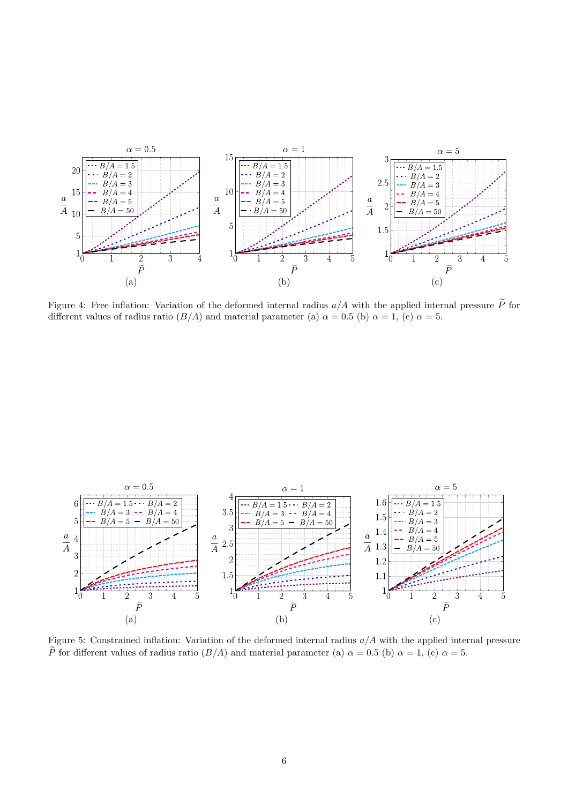

<span id="page-5-0"></span>Figure 4: Free inflation: Variation of the deformed internal radius  $a/A$  with the applied internal pressure  $\tilde{P}$  for different values of radius ratio  $(B/A)$  and material parameter (a)  $\alpha = 0.5$  (b)  $\alpha = 1$ , (c)  $\alpha = 5$ .



<span id="page-5-1"></span>Figure 5: Constrained inflation: Variation of the deformed internal radius  $a/A$  with the applied internal pressure  $\widetilde{P}$  for different values of radius ratio  $(B/A)$  and material parameter (a)  $\alpha = 0.5$  (b)  $\alpha = 1$ , (c)  $\alpha = 5$ .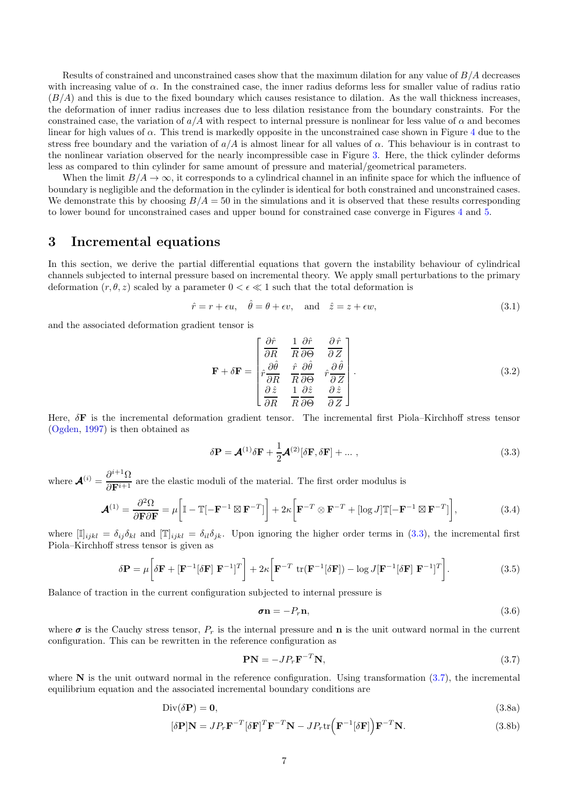Results of constrained and unconstrained cases show that the maximum dilation for any value of  $B/A$  decreases with increasing value of  $\alpha$ . In the constrained case, the inner radius deforms less for smaller value of radius ratio  $(B/A)$  and this is due to the fixed boundary which causes resistance to dilation. As the wall thickness increases, the deformation of inner radius increases due to less dilation resistance from the boundary constraints. For the constrained case, the variation of  $a/A$  with respect to internal pressure is nonlinear for less value of  $\alpha$  and becomes linear for high values of  $\alpha$ . This trend is markedly opposite in the unconstrained case shown in Figure [4](#page-5-0) due to the stress free boundary and the variation of  $a/A$  is almost linear for all values of  $\alpha$ . This behaviour is in contrast to the nonlinear variation observed for the nearly incompressible case in Figure [3.](#page-4-2) Here, the thick cylinder deforms less as compared to thin cylinder for same amount of pressure and material/geometrical parameters.

When the limit  $B/A \to \infty$ , it corresponds to a cylindrical channel in an infinite space for which the influence of boundary is negligible and the deformation in the cylinder is identical for both constrained and unconstrained cases. We demonstrate this by choosing  $B/A = 50$  in the simulations and it is observed that these results corresponding to lower bound for unconstrained cases and upper bound for constrained case converge in Figures [4](#page-5-0) and [5.](#page-5-1)

### <span id="page-6-0"></span>3 Incremental equations

In this section, we derive the partial differential equations that govern the instability behaviour of cylindrical channels subjected to internal pressure based on incremental theory. We apply small perturbations to the primary deformation  $(r, \theta, z)$  scaled by a parameter  $0 < \epsilon \ll 1$  such that the total deformation is

$$
\hat{r} = r + \epsilon u, \quad \hat{\theta} = \theta + \epsilon v, \quad \text{and} \quad \hat{z} = z + \epsilon w,
$$
\n(3.1)

and the associated deformation gradient tensor is

$$
\mathbf{F} + \delta \mathbf{F} = \begin{bmatrix} \frac{\partial \hat{r}}{\partial R} & \frac{1}{R} \frac{\partial \hat{r}}{\partial \Theta} & \frac{\partial \hat{r}}{\partial Z} \\ \hat{r} \frac{\partial \hat{\theta}}{\partial R} & \frac{\hat{r}}{R} \frac{\partial \hat{\theta}}{\partial \Theta} & \hat{r} \frac{\partial \hat{\theta}}{\partial Z} \\ \frac{\partial \hat{z}}{\partial R} & \frac{1}{R} \frac{\partial \hat{z}}{\partial \Theta} & \frac{\partial \hat{z}}{\partial Z} \end{bmatrix} .
$$
 (3.2)

Here,  $\delta \mathbf{F}$  is the incremental deformation gradient tensor. The incremental first Piola–Kirchhoff stress tensor [\(Ogden,](#page-17-15) [1997\)](#page-17-15) is then obtained as

<span id="page-6-1"></span>
$$
\delta \mathbf{P} = \mathbf{\mathcal{A}}^{(1)} \delta \mathbf{F} + \frac{1}{2} \mathbf{\mathcal{A}}^{(2)} [\delta \mathbf{F}, \delta \mathbf{F}] + \dots \,, \tag{3.3}
$$

where  $\mathcal{A}^{(i)} = \frac{\partial^{i+1} \Omega}{\partial \mathbf{D}^{i+1}}$  $\frac{\partial F}{\partial \mathbf{F}^{i+1}}$  are the elastic moduli of the material. The first order modulus is

<span id="page-6-3"></span>
$$
\mathcal{A}^{(1)} = \frac{\partial^2 \Omega}{\partial \mathbf{F} \partial \mathbf{F}} = \mu \left[ \mathbb{I} - \mathbb{T}[-\mathbf{F}^{-1} \boxtimes \mathbf{F}^{-T}]\right] + 2\kappa \left[ \mathbf{F}^{-T} \otimes \mathbf{F}^{-T} + [\log J] \mathbb{T}[-\mathbf{F}^{-1} \boxtimes \mathbf{F}^{-T}]\right],\tag{3.4}
$$

where  $[\mathbb{I}]_{ijkl} = \delta_{ij} \delta_{kl}$  and  $[\mathbb{T}]_{ijkl} = \delta_{il} \delta_{jk}$ . Upon ignoring the higher order terms in [\(3.3\)](#page-6-1), the incremental first Piola–Kirchhoff stress tensor is given as

$$
\delta \mathbf{P} = \mu \left[ \delta \mathbf{F} + [\mathbf{F}^{-1} [\delta \mathbf{F}] \ \mathbf{F}^{-1}]^T \right] + 2\kappa \left[ \mathbf{F}^{-T} \ \text{tr}(\mathbf{F}^{-1} [\delta \mathbf{F}]) - \log J [\mathbf{F}^{-1} [\delta \mathbf{F}] \ \mathbf{F}^{-1}]^T \right]. \tag{3.5}
$$

Balance of traction in the current configuration subjected to internal pressure is

<span id="page-6-5"></span>
$$
\boldsymbol{\sigma} \mathbf{n} = -P_r \mathbf{n},\tag{3.6}
$$

where  $\sigma$  is the Cauchy stress tensor,  $P_r$  is the internal pressure and **n** is the unit outward normal in the current configuration. This can be rewritten in the reference configuration as

<span id="page-6-6"></span><span id="page-6-4"></span><span id="page-6-2"></span>
$$
PN = -JP_rF^{-T}N,
$$
\n(3.7)

where  $N$  is the unit outward normal in the reference configuration. Using transformation  $(3.7)$ , the incremental equilibrium equation and the associated incremental boundary conditions are

$$
Div(\delta \mathbf{P}) = \mathbf{0},\tag{3.8a}
$$

$$
[\delta \mathbf{P}] \mathbf{N} = J P_r \mathbf{F}^{-T} [\delta \mathbf{F}]^T \mathbf{F}^{-T} \mathbf{N} - J P_r \text{tr} \left( \mathbf{F}^{-1} [\delta \mathbf{F}] \right) \mathbf{F}^{-T} \mathbf{N}.
$$
 (3.8b)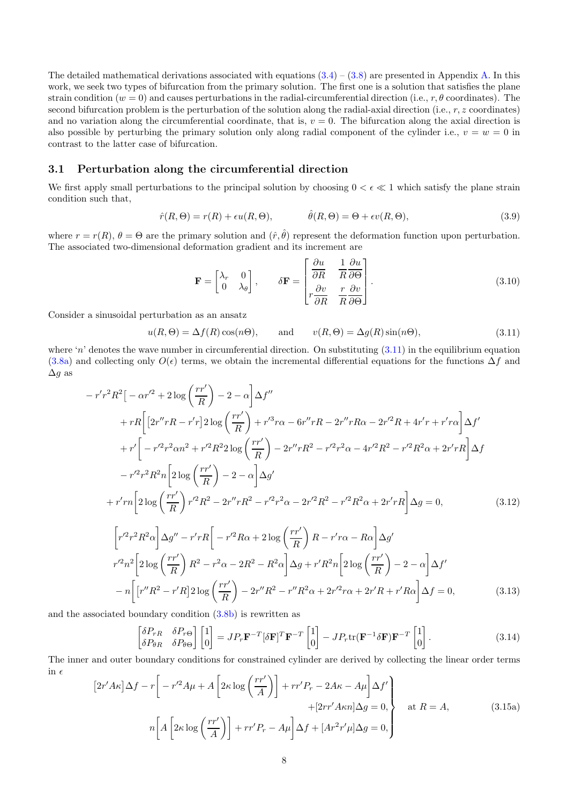The detailed mathematical derivations associated with equations  $(3.4) - (3.8)$  $(3.4) - (3.8)$  are presented in Appendix [A.](#page-18-0) In this work, we seek two types of bifurcation from the primary solution. The first one is a solution that satisfies the plane strain condition  $(w = 0)$  and causes perturbations in the radial-circumferential direction (i.e., r,  $\theta$  coordinates). The second bifurcation problem is the perturbation of the solution along the radial-axial direction (i.e.,  $r, z$  coordinates) and no variation along the circumferential coordinate, that is,  $v = 0$ . The bifurcation along the axial direction is also possible by perturbing the primary solution only along radial component of the cylinder i.e.,  $v = w = 0$  in contrast to the latter case of bifurcation.

### <span id="page-7-1"></span>3.1 Perturbation along the circumferential direction

We first apply small perturbations to the principal solution by choosing  $0 < \epsilon \ll 1$  which satisfy the plane strain condition such that,

$$
\hat{r}(R,\Theta) = r(R) + \epsilon u(R,\Theta), \qquad \hat{\theta}(R,\Theta) = \Theta + \epsilon v(R,\Theta), \qquad (3.9)
$$

where  $r = r(R)$ ,  $\theta = \Theta$  are the primary solution and  $(\hat{r}, \hat{\theta})$  represent the deformation function upon perturbation. The associated two-dimensional deformation gradient and its increment are

$$
\mathbf{F} = \begin{bmatrix} \lambda_r & 0 \\ 0 & \lambda_\theta \end{bmatrix}, \qquad \delta \mathbf{F} = \begin{bmatrix} \frac{\partial u}{\partial R} & \frac{1}{R} \frac{\partial u}{\partial \Theta} \\ r \frac{\partial v}{\partial R} & \frac{r}{R} \frac{\partial v}{\partial \Theta} \end{bmatrix}.
$$
 (3.10)

Consider a sinusoidal perturbation as an ansatz

<span id="page-7-0"></span>
$$
u(R, \Theta) = \Delta f(R) \cos(n\Theta), \quad \text{and} \quad v(R, \Theta) = \Delta g(R) \sin(n\Theta), \tag{3.11}
$$

where 'n' denotes the wave number in circumferential direction. On substituting  $(3.11)$  in the equilibrium equation [\(3.8a\)](#page-6-5) and collecting only  $O(\epsilon)$  terms, we obtain the incremental differential equations for the functions  $\Delta f$  and  $\Delta q$  as

$$
-r'r^{2}R^{2}\left[-\alpha r'^{2}+2\log\left(\frac{rr'}{R}\right)-2-\alpha\right]\Delta f''
$$
  
+
$$
+rR\left[\left[2r''rR-r'r\right]2\log\left(\frac{rr'}{R}\right)+r'^{3}r\alpha-6r''rR-2r''rR\alpha-2r'^{2}R+4r'r+r'r\alpha\right]\Delta f'
$$
  
+
$$
+r'\left[-r'^{2}r^{2}\alpha n^{2}+r'^{2}R^{2}2\log\left(\frac{rr'}{R}\right)-2r''rR^{2}-r'^{2}r^{2}\alpha-4r'^{2}R^{2}-r'^{2}R^{2}\alpha+2r'rR\right]\Delta f
$$
  

$$
-r'^{2}r^{2}R^{2}n\left[2\log\left(\frac{rr'}{R}\right)-2-\alpha\right]\Delta g'
$$
  
+
$$
r'rn\left[2\log\left(\frac{rr'}{R}\right)r'^{2}R^{2}-2r''rR^{2}-r'^{2}r^{2}\alpha-2r'^{2}R^{2}-r'^{2}R^{2}\alpha+2r'rR\right]\Delta g=0,
$$
(3.12)  

$$
\left[r'^{2}r^{2}R^{2}\alpha\right]\Delta g''-r'rR\left[-r'^{2}R\alpha+2\log\left(\frac{rr'}{R}\right)R-r'r\alpha-R\alpha\right]\Delta g'
$$
  

$$
r'^{2}n^{2}\left[2\log\left(\frac{rr'}{R}\right)R^{2}-r^{2}\alpha-2R^{2}-R^{2}\alpha\right]\Delta g+r'R^{2}n\left[2\log\left(\frac{rr'}{R}\right)-2-\alpha\right]\Delta f'
$$
  

$$
-n\left[\left[r''R^{2}-r'R\right]2\log\left(\frac{rr'}{R}\right)-2r''R^{2}-r''R^{2}\alpha+2r'^{2}r\alpha+2r'R+r'R\alpha\right]\Delta f=0,
$$
(3.13)

and the associated boundary condition [\(3.8b\)](#page-6-6) is rewritten as

<span id="page-7-4"></span><span id="page-7-3"></span><span id="page-7-2"></span>
$$
\begin{bmatrix}\n\delta P_{rR} & \delta P_{r\Theta} \\
\delta P_{\theta R} & \delta P_{\theta \Theta}\n\end{bmatrix}\n\begin{bmatrix}\n1 \\
0\n\end{bmatrix} = J P_r \mathbf{F}^{-T} [\delta \mathbf{F}]^T \mathbf{F}^{-T} \begin{bmatrix}\n1 \\
0\n\end{bmatrix} - J P_r \text{tr}(\mathbf{F}^{-1} \delta \mathbf{F}) \mathbf{F}^{-T} \begin{bmatrix}\n1 \\
0\n\end{bmatrix}.
$$
\n(3.14)

The inner and outer boundary conditions for constrained cylinder are derived by collecting the linear order terms in  $\epsilon$ 

$$
[2r'A\kappa]\Delta f - r\bigg[-r'^2A\mu + A\bigg[2\kappa \log\bigg(\frac{rr'}{A}\bigg)\bigg] + rr'P_r - 2A\kappa - A\mu\bigg]\Delta f'
$$
  
+ 
$$
[2rr'A\kappa n]\Delta g = 0,
$$
 at  $R = A$ ,  

$$
n\bigg[A\bigg[2\kappa \log\bigg(\frac{rr'}{A}\bigg)\bigg] + rr'P_r - A\mu\bigg]\Delta f + [Ar^2r'\mu]\Delta g = 0,
$$
 (3.15a)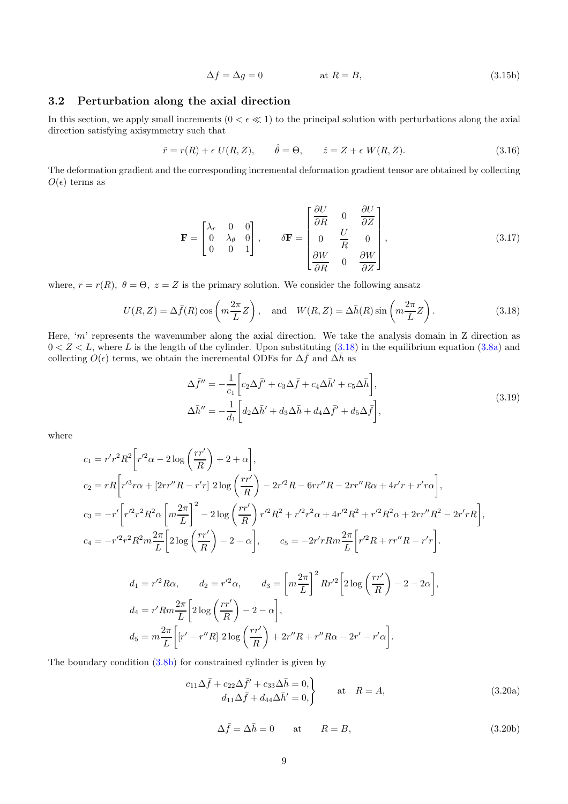<span id="page-8-1"></span>
$$
\Delta f = \Delta g = 0 \qquad \qquad \text{at } R = B,\tag{3.15b}
$$

### <span id="page-8-2"></span>3.2 Perturbation along the axial direction

In this section, we apply small increments  $(0 < \epsilon \ll 1)$  to the principal solution with perturbations along the axial direction satisfying axisymmetry such that

$$
\hat{r} = r(R) + \epsilon \ U(R, Z), \qquad \hat{\theta} = \Theta, \qquad \hat{z} = Z + \epsilon \ W(R, Z). \tag{3.16}
$$

The deformation gradient and the corresponding incremental deformation gradient tensor are obtained by collecting  $O(\epsilon)$  terms as

$$
\mathbf{F} = \begin{bmatrix} \lambda_r & 0 & 0 \\ 0 & \lambda_\theta & 0 \\ 0 & 0 & 1 \end{bmatrix}, \qquad \delta \mathbf{F} = \begin{bmatrix} \frac{\partial U}{\partial R} & 0 & \frac{\partial U}{\partial Z} \\ 0 & \frac{U}{R} & 0 \\ \frac{\partial W}{\partial R} & 0 & \frac{\partial W}{\partial Z} \end{bmatrix}, \tag{3.17}
$$

where,  $r = r(R)$ ,  $\theta = \Theta$ ,  $z = Z$  is the primary solution. We consider the following ansatz

<span id="page-8-0"></span>
$$
U(R,Z) = \Delta \bar{f}(R) \cos\left(m\frac{2\pi}{L}Z\right), \text{ and } W(R,Z) = \Delta \bar{h}(R) \sin\left(m\frac{2\pi}{L}Z\right). \tag{3.18}
$$

Here, 'm' represents the wavenumber along the axial direction. We take the analysis domain in  $Z$  direction as  $0 < Z < L$ , where L is the length of the cylinder. Upon substituting  $(3.18)$  in the equilibrium equation  $(3.8a)$  and collecting  $O(\epsilon)$  terms, we obtain the incremental ODEs for  $\Delta \bar{f}$  and  $\Delta \bar{h}$  as

<span id="page-8-3"></span>
$$
\Delta \bar{f}'' = -\frac{1}{c_1} \left[ c_2 \Delta \bar{f}' + c_3 \Delta \bar{f} + c_4 \Delta \bar{h}' + c_5 \Delta \bar{h} \right],
$$
  
\n
$$
\Delta \bar{h}'' = -\frac{1}{d_1} \left[ d_2 \Delta \bar{h}' + d_3 \Delta \bar{h} + d_4 \Delta \bar{f}' + d_5 \Delta \bar{f} \right],
$$
\n(3.19)

where

$$
c_1 = r'r^2R^2 \left[ r'^2 \alpha - 2\log\left(\frac{rr'}{R}\right) + 2 + \alpha \right],
$$
  
\n
$$
c_2 = rR \left[ r'^3 r \alpha + \left[ 2rr''R - r'r \right] 2\log\left(\frac{rr'}{R}\right) - 2r'^2 R - 6rr''R - 2rr''R\alpha + 4r'r + r'r\alpha \right],
$$
  
\n
$$
c_3 = -r' \left[ r'^2 r^2 R^2 \alpha \left[ m \frac{2\pi}{L} \right]^2 - 2\log\left(\frac{rr'}{R}\right) r'^2 R^2 + r'^2 r^2 \alpha + 4r'^2 R^2 + r'^2 R^2 \alpha + 2rr''R^2 - 2r'rR \right],
$$
  
\n
$$
c_4 = -r'^2 r^2 R^2 m \frac{2\pi}{L} \left[ 2\log\left(\frac{rr'}{R}\right) - 2 - \alpha \right], \qquad c_5 = -2r'rRm \frac{2\pi}{L} \left[ r'^2 R + rr''R - r'r \right].
$$

$$
d_1 = r'^2 R \alpha, \qquad d_2 = r'^2 \alpha, \qquad d_3 = \left[ m \frac{2\pi}{L} \right]^2 R r'^2 \left[ 2 \log \left( \frac{r r'}{R} \right) - 2 - 2\alpha \right]
$$
  

$$
d_4 = r' R m \frac{2\pi}{L} \left[ 2 \log \left( \frac{r r'}{R} \right) - 2 - \alpha \right],
$$
  

$$
d_5 = m \frac{2\pi}{L} \left[ r' - r'' R \right] 2 \log \left( \frac{r r'}{R} \right) + 2r'' R + r'' R \alpha - 2r' - r' \alpha \right].
$$

The boundary condition [\(3.8b\)](#page-6-6) for constrained cylinder is given by

$$
c_{11}\Delta \bar{f} + c_{22}\Delta \bar{f}' + c_{33}\Delta \bar{h} = 0, d_{11}\Delta \bar{f} + d_{44}\Delta \bar{h}' = 0,
$$
 at  $R = A,$  (3.20a)

$$
\Delta \bar{f} = \Delta \bar{h} = 0 \quad \text{at} \quad R = B,
$$
\n(3.20b)

,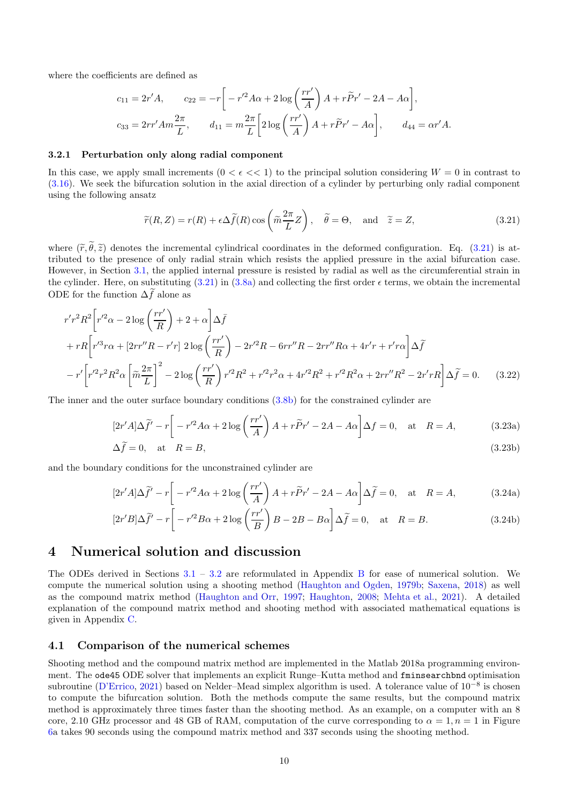where the coefficients are defined as

$$
c_{11} = 2r'A, \t c_{22} = -r \left[ -r'^2 A\alpha + 2\log\left(\frac{rr'}{A}\right)A + r\tilde{P}r' - 2A - A\alpha \right],
$$
  

$$
c_{33} = 2rr'Am\frac{2\pi}{L}, \t d_{11} = m\frac{2\pi}{L} \left[ 2\log\left(\frac{rr'}{A}\right)A + r\tilde{P}r' - A\alpha \right], \t d_{44} = \alpha r'A.
$$

#### 3.2.1 Perturbation only along radial component

In this case, we apply small increments  $(0 < \epsilon < 1)$  to the principal solution considering  $W = 0$  in contrast to [\(3.16\)](#page-8-1). We seek the bifurcation solution in the axial direction of a cylinder by perturbing only radial component using the following ansatz

<span id="page-9-1"></span>
$$
\widetilde{r}(R, Z) = r(R) + \epsilon \Delta \widetilde{f}(R) \cos \left(\widetilde{m} \frac{2\pi}{L} Z\right), \quad \widetilde{\theta} = \Theta, \text{ and } \widetilde{z} = Z,
$$
\n(3.21)

where  $(\tilde{r}, \tilde{\theta}, \tilde{z})$  denotes the incremental cylindrical coordinates in the deformed configuration. Eq. [\(3.21\)](#page-9-1) is attributed to the presence of only radial strain which resists the applied pressure in the axial bifurcation case. However, in Section [3.1,](#page-7-1) the applied internal pressure is resisted by radial as well as the circumferential strain in the cylinder. Here, on substituting  $(3.21)$  in  $(3.8a)$  and collecting the first order  $\epsilon$  terms, we obtain the incremental ODE for the function  $\Delta \tilde{f}$  alone as

$$
r'r^{2}R^{2}\left[r'^{2}\alpha - 2\log\left(\frac{rr'}{R}\right) + 2 + \alpha\right]\Delta\bar{f}
$$
  
+  $rR\left[r'^{3}r\alpha + [2rr''R - r'r] 2\log\left(\frac{rr'}{R}\right) - 2r'^{2}R - 6rr''R - 2rr''R\alpha + 4r'r + r'r\alpha\right]\Delta\tilde{f}$   
-  $r'\left[r'^{2}r^{2}R^{2}\alpha\left[\tilde{m}\frac{2\pi}{L}\right]^{2} - 2\log\left(\frac{rr'}{R}\right)r'^{2}R^{2} + r'^{2}r^{2}\alpha + 4r'^{2}R^{2} + r'^{2}R^{2}\alpha + 2rr''R^{2} - 2r'rR\right]\Delta\tilde{f} = 0.$  (3.22)

The inner and the outer surface boundary conditions [\(3.8b\)](#page-6-6) for the constrained cylinder are

$$
[2r'A]\Delta \tilde{f}' - r \left[ -r'^2 A\alpha + 2\log\left(\frac{rr'}{A}\right)A + r\tilde{P}r' - 2A - A\alpha \right] \Delta f = 0, \text{ at } R = A,
$$
 (3.23a)

$$
\Delta \tilde{f} = 0, \quad \text{at} \quad R = B,\tag{3.23b}
$$

and the boundary conditions for the unconstrained cylinder are

$$
[2r'A]\Delta \tilde{f}' - r \left[ -r'^2 A\alpha + 2\log\left(\frac{rr'}{A}\right)A + r\tilde{P}r' - 2A - A\alpha \right] \Delta \tilde{f} = 0, \text{ at } R = A,
$$
 (3.24a)

$$
[2r'B]\Delta \tilde{f}' - r \left[ -r'^2 B\alpha + 2 \log \left( \frac{rr'}{B} \right) B - 2B - B\alpha \right] \Delta \tilde{f} = 0, \text{ at } R = B.
$$
 (3.24b)

### <span id="page-9-0"></span>4 Numerical solution and discussion

The ODEs derived in Sections [3.1](#page-7-1) – [3.2](#page-8-2) are reformulated in Appendix [B](#page-18-1) for ease of numerical solution. We compute the numerical solution using a shooting method [\(Haughton and Ogden,](#page-17-13) [1979b](#page-17-13); [Saxena](#page-17-17), [2018\)](#page-17-17) as well as the compound matrix method [\(Haughton and Orr](#page-17-18), [1997;](#page-17-18) [Haughton,](#page-17-19) [2008;](#page-17-19) [Mehta et al.](#page-17-20), [2021\)](#page-17-20). A detailed explanation of the compound matrix method and shooting method with associated mathematical equations is given in Appendix [C.](#page-23-0)

#### 4.1 Comparison of the numerical schemes

Shooting method and the compound matrix method are implemented in the Matlab 2018a programming environment. The ode45 ODE solver that implements an explicit Runge–Kutta method and fminsearchbnd optimisation subroutine [\(D'Errico,](#page-16-9) [2021\)](#page-16-9) based on Nelder–Mead simplex algorithm is used. A tolerance value of 10−<sup>8</sup> is chosen to compute the bifurcation solution. Both the methods compute the same results, but the compound matrix method is approximately three times faster than the shooting method. As an example, on a computer with an 8 core, 2.10 GHz processor and 48 GB of RAM, computation of the curve corresponding to  $\alpha = 1, n = 1$  in Figure [6a](#page-10-0) takes 90 seconds using the compound matrix method and 337 seconds using the shooting method.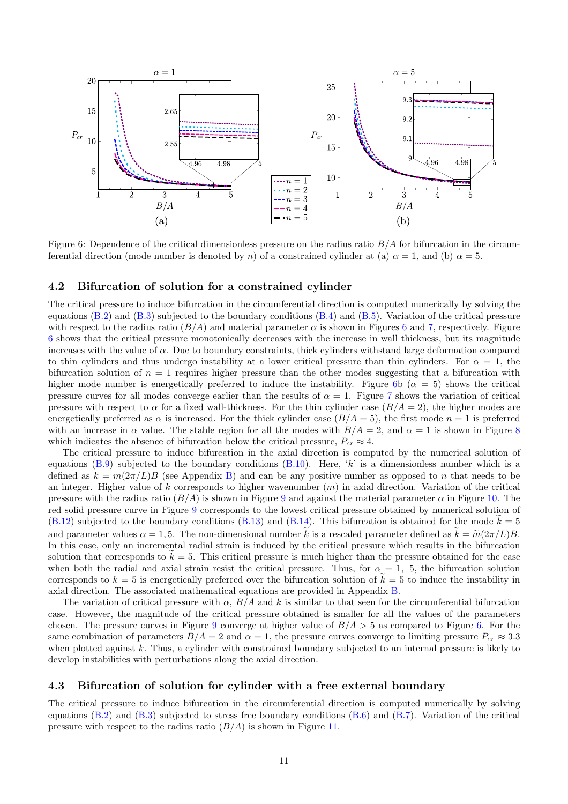

<span id="page-10-0"></span>Figure 6: Dependence of the critical dimensionless pressure on the radius ratio  $B/A$  for bifurcation in the circumferential direction (mode number is denoted by n) of a constrained cylinder at (a)  $\alpha = 1$ , and (b)  $\alpha = 5$ .

### 4.2 Bifurcation of solution for a constrained cylinder

The critical pressure to induce bifurcation in the circumferential direction is computed numerically by solving the equations  $(B.2)$  and  $(B.3)$  subjected to the boundary conditions  $(B.4)$  and  $(B.5)$ . Variation of the critical pressure with respect to the radius ratio  $(B/A)$  and material parameter  $\alpha$  is shown in Figures [6](#page-10-0) and [7,](#page-11-0) respectively. Figure [6](#page-10-0) shows that the critical pressure monotonically decreases with the increase in wall thickness, but its magnitude increases with the value of  $\alpha$ . Due to boundary constraints, thick cylinders withstand large deformation compared to thin cylinders and thus undergo instability at a lower critical pressure than thin cylinders. For  $\alpha = 1$ , the bifurcation solution of  $n = 1$  requires higher pressure than the other modes suggesting that a bifurcation with higher mode number is energetically preferred to induce the instability. Figure [6b](#page-10-0) ( $\alpha = 5$ ) shows the critical pressure curves for all modes converge earlier than the results of  $\alpha = 1$ . Figure [7](#page-11-0) shows the variation of critical pressure with respect to  $\alpha$  for a fixed wall-thickness. For the thin cylinder case  $(B/A = 2)$ , the higher modes are energetically preferred as  $\alpha$  is increased. For the thick cylinder case  $(B/A = 5)$ , the first mode  $n = 1$  is preferred with an increase in  $\alpha$  value. The stable region for all the modes with  $B/A = 2$ , and  $\alpha = 1$  is shown in Figure [8](#page-11-1) which indicates the absence of bifurcation below the critical pressure,  $P_{cr} \approx 4$ .

The critical pressure to induce bifurcation in the axial direction is computed by the numerical solution of equations  $(B.9)$  subjected to the boundary conditions  $(B.10)$ . Here, 'k' is a dimensionless number which is a defined as  $k = m(2\pi/L)B$  (see Appendix [B\)](#page-18-1) and can be any positive number as opposed to n that needs to be an integer. Higher value of k corresponds to higher wavenumber  $(m)$  in axial direction. Variation of the critical pressure with the radius ratio  $(B/A)$  is shown in Figure [9](#page-11-2) and against the material parameter  $\alpha$  in Figure [10.](#page-12-0) The red solid pressure curve in Figure [9](#page-11-2) corresponds to the lowest critical pressure obtained by numerical solution of  $(B.12)$  subjected to the boundary conditions  $(B.13)$  and  $(B.14)$ . This bifurcation is obtained for the mode  $k = 5$ and parameter values  $\alpha = 1, 5$ . The non-dimensional number k is a rescaled parameter defined as  $k = \tilde{m}(2\pi/L)B$ . In this case, only an incremental radial strain is induced by the critical pressure which results in the bifurcation solution that corresponds to  $k = 5$ . This critical pressure is much higher than the pressure obtained for the case when both the radial and axial strain resist the critical pressure. Thus, for  $\alpha = 1$ , 5, the bifurcation solution corresponds to  $k = 5$  is energetically preferred over the bifurcation solution of  $\tilde{k} = 5$  to induce the instability in axial direction. The associated mathematical equations are provided in Appendix [B.](#page-18-1)

The variation of critical pressure with  $\alpha$ ,  $B/A$  and k is similar to that seen for the circumferential bifurcation case. However, the magnitude of the critical pressure obtained is smaller for all the values of the parameters chosen. The pressure curves in Figure [9](#page-11-2) converge at higher value of  $B/A > 5$  as compared to Figure [6.](#page-10-0) For the same combination of parameters  $B/A = 2$  and  $\alpha = 1$ , the pressure curves converge to limiting pressure  $P_{cr} \approx 3.3$ when plotted against  $k$ . Thus, a cylinder with constrained boundary subjected to an internal pressure is likely to develop instabilities with perturbations along the axial direction.

### 4.3 Bifurcation of solution for cylinder with a free external boundary

The critical pressure to induce bifurcation in the circumferential direction is computed numerically by solving equations  $(B.2)$  and  $(B.3)$  subjected to stress free boundary conditions  $(B.6)$  and  $(B.7)$ . Variation of the critical pressure with respect to the radius ratio  $(B/A)$  is shown in Figure [11.](#page-13-0)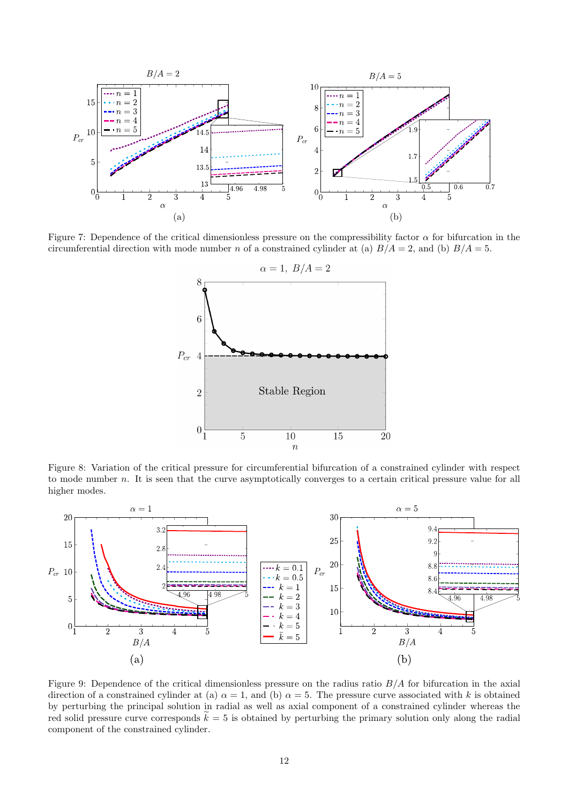

<span id="page-11-0"></span>Figure 7: Dependence of the critical dimensionless pressure on the compressibility factor  $\alpha$  for bifurcation in the circumferential direction with mode number n of a constrained cylinder at (a)  $B/A = 2$ , and (b)  $B/A = 5$ .



<span id="page-11-1"></span>Figure 8: Variation of the critical pressure for circumferential bifurcation of a constrained cylinder with respect to mode number n. It is seen that the curve asymptotically converges to a certain critical pressure value for all higher modes.



<span id="page-11-2"></span>Figure 9: Dependence of the critical dimensionless pressure on the radius ratio  $B/A$  for bifurcation in the axial direction of a constrained cylinder at (a)  $\alpha = 1$ , and (b)  $\alpha = 5$ . The pressure curve associated with k is obtained by perturbing the principal solution in radial as well as axial component of a constrained cylinder whereas the red solid pressure curve corresponds  $k = 5$  is obtained by perturbing the primary solution only along the radial component of the constrained cylinder.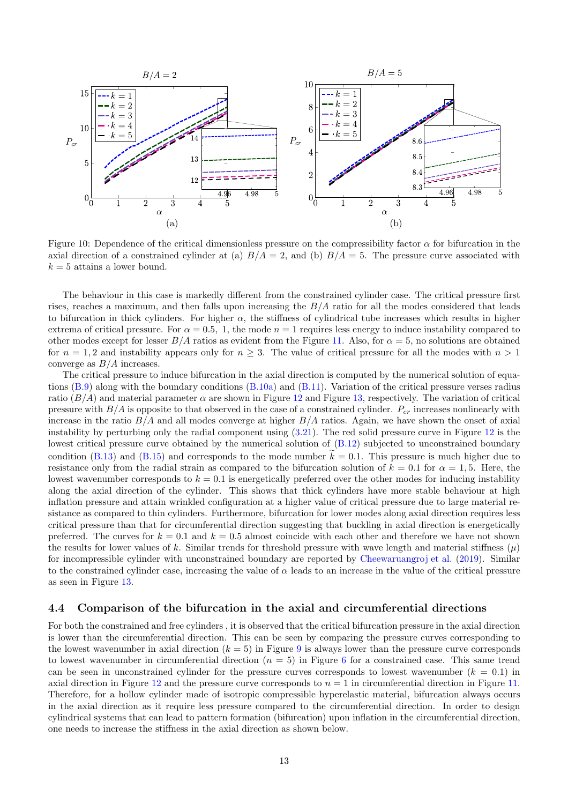

<span id="page-12-0"></span>Figure 10: Dependence of the critical dimensionless pressure on the compressibility factor  $\alpha$  for bifurcation in the axial direction of a constrained cylinder at (a)  $B/A = 2$ , and (b)  $B/A = 5$ . The pressure curve associated with  $k = 5$  attains a lower bound.

The behaviour in this case is markedly different from the constrained cylinder case. The critical pressure first rises, reaches a maximum, and then falls upon increasing the  $B/A$  ratio for all the modes considered that leads to bifurcation in thick cylinders. For higher  $\alpha$ , the stiffness of cylindrical tube increases which results in higher extrema of critical pressure. For  $\alpha = 0.5$ , 1, the mode  $n = 1$  requires less energy to induce instability compared to other modes except for lesser  $B/A$  ratios as evident from the Figure [11.](#page-13-0) Also, for  $\alpha = 5$ , no solutions are obtained for  $n = 1, 2$  and instability appears only for  $n > 3$ . The value of critical pressure for all the modes with  $n > 1$ converge as  $B/A$  increases.

The critical pressure to induce bifurcation in the axial direction is computed by the numerical solution of equations [\(B.9\)](#page-20-0) along with the boundary conditions [\(B.10a\)](#page-20-2) and [\(B.11\)](#page-20-3). Variation of the critical pressure verses radius ratio  $(B/A)$  and material parameter  $\alpha$  are shown in Figure [12](#page-13-1) and Figure [13,](#page-13-2) respectively. The variation of critical pressure with  $B/A$  is opposite to that observed in the case of a constrained cylinder.  $P_{cr}$  increases nonlinearly with increase in the ratio  $B/A$  and all modes converge at higher  $B/A$  ratios. Again, we have shown the onset of axial instability by perturbing only the radial component using  $(3.21)$ . The red solid pressure curve in Figure [12](#page-13-1) is the lowest critical pressure curve obtained by the numerical solution of  $(B.12)$  subjected to unconstrained boundary condition [\(B.13\)](#page-21-1) and [\(B.15\)](#page-21-3) and corresponds to the mode number  $k = 0.1$ . This pressure is much higher due to resistance only from the radial strain as compared to the bifurcation solution of  $k = 0.1$  for  $\alpha = 1, 5$ . Here, the lowest wavenumber corresponds to  $k = 0.1$  is energetically preferred over the other modes for inducing instability along the axial direction of the cylinder. This shows that thick cylinders have more stable behaviour at high inflation pressure and attain wrinkled configuration at a higher value of critical pressure due to large material resistance as compared to thin cylinders. Furthermore, bifurcation for lower modes along axial direction requires less critical pressure than that for circumferential direction suggesting that buckling in axial direction is energetically preferred. The curves for  $k = 0.1$  and  $k = 0.5$  almost coincide with each other and therefore we have not shown the results for lower values of k. Similar trends for threshold pressure with wave length and material stiffness  $(\mu)$ for incompressible cylinder with unconstrained boundary are reported by [Cheewaruangroj et al.](#page-16-4) [\(2019](#page-16-4)). Similar to the constrained cylinder case, increasing the value of  $\alpha$  leads to an increase in the value of the critical pressure as seen in Figure [13.](#page-13-2)

#### <span id="page-12-1"></span>4.4 Comparison of the bifurcation in the axial and circumferential directions

For both the constrained and free cylinders , it is observed that the critical bifurcation pressure in the axial direction is lower than the circumferential direction. This can be seen by comparing the pressure curves corresponding to the lowest wavenumber in axial direction  $(k = 5)$  in Figure [9](#page-11-2) is always lower than the pressure curve corresponds to lowest wavenumber in circumferential direction  $(n = 5)$  in Figure [6](#page-10-0) for a constrained case. This same trend can be seen in unconstrained cylinder for the pressure curves corresponds to lowest wavenumber  $(k = 0.1)$  in axial direction in Figure [12](#page-13-1) and the pressure curve corresponds to  $n = 1$  in circumferential direction in Figure [11.](#page-13-0) Therefore, for a hollow cylinder made of isotropic compressible hyperelastic material, bifurcation always occurs in the axial direction as it require less pressure compared to the circumferential direction. In order to design cylindrical systems that can lead to pattern formation (bifurcation) upon inflation in the circumferential direction, one needs to increase the stiffness in the axial direction as shown below.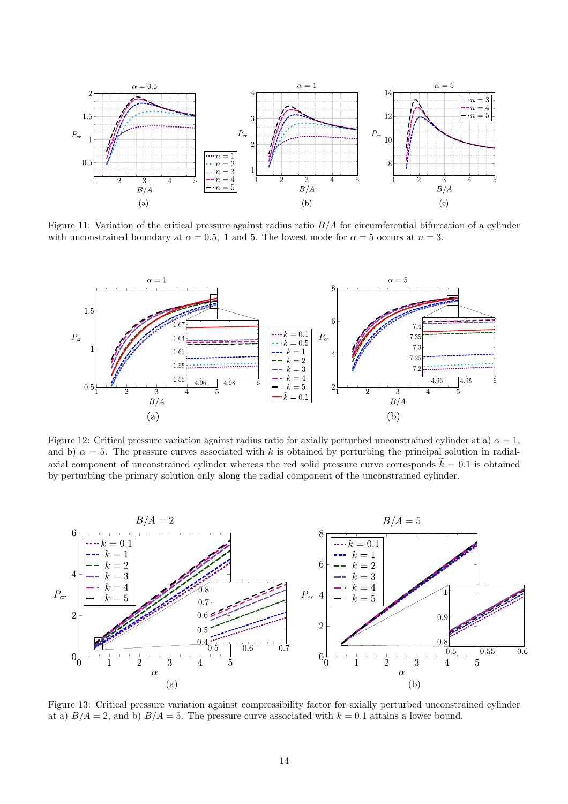

<span id="page-13-0"></span>Figure 11: Variation of the critical pressure against radius ratio B/A for circumferential bifurcation of a cylinder with unconstrained boundary at  $\alpha = 0.5$ , 1 and 5. The lowest mode for  $\alpha = 5$  occurs at  $n = 3$ .



<span id="page-13-1"></span>Figure 12: Critical pressure variation against radius ratio for axially perturbed unconstrained cylinder at a)  $\alpha = 1$ , and b)  $\alpha = 5$ . The pressure curves associated with k is obtained by perturbing the principal solution in radialaxial component of unconstrained cylinder whereas the red solid pressure curve corresponds  $\tilde{k} = 0.1$  is obtained by perturbing the primary solution only along the radial component of the unconstrained cylinder.



<span id="page-13-2"></span>Figure 13: Critical pressure variation against compressibility factor for axially perturbed unconstrained cylinder at a)  $B/A = 2$ , and b)  $B/A = 5$ . The pressure curve associated with  $k = 0.1$  attains a lower bound.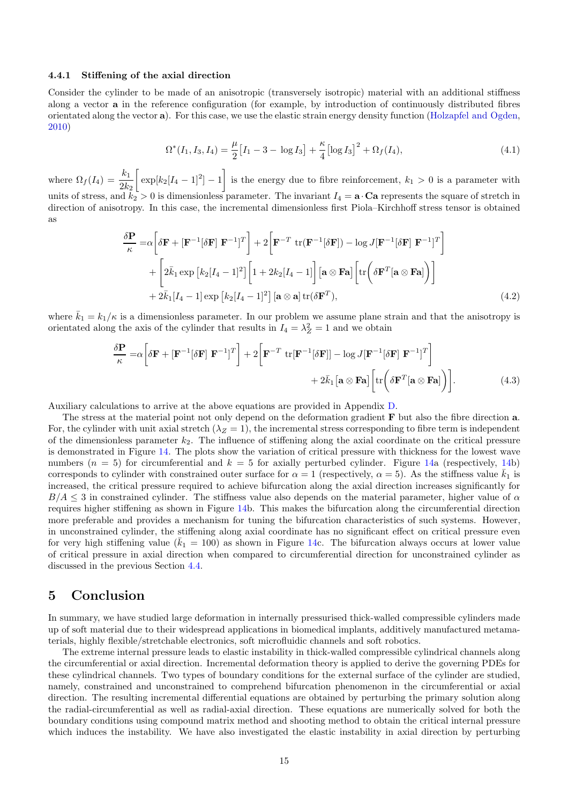#### 4.4.1 Stiffening of the axial direction

Consider the cylinder to be made of an anisotropic (transversely isotropic) material with an additional stiffness along a vector a in the reference configuration (for example, by introduction of continuously distributed fibres orientated along the vector a). For this case, we use the elastic strain energy density function [\(Holzapfel and Ogden](#page-17-21), [2010\)](#page-17-21)

$$
\Omega^*(I_1, I_3, I_4) = \frac{\mu}{2} \big[ I_1 - 3 - \log I_3 \big] + \frac{\kappa}{4} \big[ \log I_3 \big]^2 + \Omega_f(I_4),\tag{4.1}
$$

where  $\Omega_f(I_4) = \frac{k_1}{2k_2}$  $\left[\exp[k_2[I_4-1]^2]-1\right]$ 1 is the energy due to fibre reinforcement,  $k_1 > 0$  is a parameter with units of stress, and  $k_2 > 0$  is dimensionless parameter. The invariant  $I_4 = \mathbf{a} \cdot \mathbf{C} \mathbf{a}$  represents the square of stretch in direction of anisotropy. In this case, the incremental dimensionless first Piola–Kirchhoff stress tensor is obtained as

$$
\frac{\delta \mathbf{P}}{\kappa} = \alpha \left[ \delta \mathbf{F} + [\mathbf{F}^{-1} [\delta \mathbf{F}] \ \mathbf{F}^{-1}]^T \right] + 2 \left[ \mathbf{F}^{-T} \ \text{tr}(\mathbf{F}^{-1} [\delta \mathbf{F}]) - \log J [\mathbf{F}^{-1} [\delta \mathbf{F}] \ \mathbf{F}^{-1}]^T \right] + \left[ 2 \bar{k}_1 \exp [k_2 [I_4 - 1]^2] \left[ 1 + 2k_2 [I_4 - 1] \right] \left[ \mathbf{a} \otimes \mathbf{F} \mathbf{a} \right] \left[ \text{tr} \left( \delta \mathbf{F}^T [\mathbf{a} \otimes \mathbf{F} \mathbf{a}] \right) \right] + 2 \bar{k}_1 [I_4 - 1] \exp [k_2 [I_4 - 1]^2] \left[ \mathbf{a} \otimes \mathbf{a} \right] \text{tr}(\delta \mathbf{F}^T),
$$
\n(4.2)

where  $\bar{k}_1 = k_1/\kappa$  is a dimensionless parameter. In our problem we assume plane strain and that the anisotropy is orientated along the axis of the cylinder that results in  $I_4 = \lambda_Z^2 = 1$  and we obtain

$$
\frac{\delta \mathbf{P}}{\kappa} = \alpha \left[ \delta \mathbf{F} + [\mathbf{F}^{-1} [\delta \mathbf{F}] \ \mathbf{F}^{-1}]^T \right] + 2 \left[ \mathbf{F}^{-T} \ \text{tr}[\mathbf{F}^{-1} [\delta \mathbf{F}]] - \log J [\mathbf{F}^{-1} [\delta \mathbf{F}] \ \mathbf{F}^{-1}]^T \right] + 2 \bar{k}_1 \left[ \mathbf{a} \otimes \mathbf{F} \mathbf{a} \right] \left[ \text{tr} \left( \delta \mathbf{F}^T [\mathbf{a} \otimes \mathbf{F} \mathbf{a}] \right) \right]. \tag{4.3}
$$

Auxiliary calculations to arrive at the above equations are provided in Appendix [D.](#page-25-0)

The stress at the material point not only depend on the deformation gradient **F** but also the fibre direction **a**. For, the cylinder with unit axial stretch  $(\lambda_Z = 1)$ , the incremental stress corresponding to fibre term is independent of the dimensionless parameter  $k_2$ . The influence of stiffening along the axial coordinate on the critical pressure is demonstrated in Figure [14.](#page-15-0) The plots show the variation of critical pressure with thickness for the lowest wave numbers  $(n = 5)$  for circumferential and  $k = 5$  for axially perturbed cylinder. Figure [14a](#page-15-0) (respectively, [14b](#page-15-0)) corresponds to cylinder with constrained outer surface for  $\alpha = 1$  (respectively,  $\alpha = 5$ ). As the stiffness value  $\bar{k}_1$  is increased, the critical pressure required to achieve bifurcation along the axial direction increases significantly for  $B/A \leq 3$  in constrained cylinder. The stiffness value also depends on the material parameter, higher value of  $\alpha$ requires higher stiffening as shown in Figure [14b](#page-15-0). This makes the bifurcation along the circumferential direction more preferable and provides a mechanism for tuning the bifurcation characteristics of such systems. However, in unconstrained cylinder, the stiffening along axial coordinate has no significant effect on critical pressure even for very high stiffening value ( $k_1 = 100$ ) as shown in Figure [14c](#page-15-0). The bifurcation always occurs at lower value of critical pressure in axial direction when compared to circumferential direction for unconstrained cylinder as discussed in the previous Section [4.4.](#page-12-1)

### <span id="page-14-0"></span>5 Conclusion

In summary, we have studied large deformation in internally pressurised thick-walled compressible cylinders made up of soft material due to their widespread applications in biomedical implants, additively manufactured metamaterials, highly flexible/stretchable electronics, soft microfluidic channels and soft robotics.

The extreme internal pressure leads to elastic instability in thick-walled compressible cylindrical channels along the circumferential or axial direction. Incremental deformation theory is applied to derive the governing PDEs for these cylindrical channels. Two types of boundary conditions for the external surface of the cylinder are studied, namely, constrained and unconstrained to comprehend bifurcation phenomenon in the circumferential or axial direction. The resulting incremental differential equations are obtained by perturbing the primary solution along the radial-circumferential as well as radial-axial direction. These equations are numerically solved for both the boundary conditions using compound matrix method and shooting method to obtain the critical internal pressure which induces the instability. We have also investigated the elastic instability in axial direction by perturbing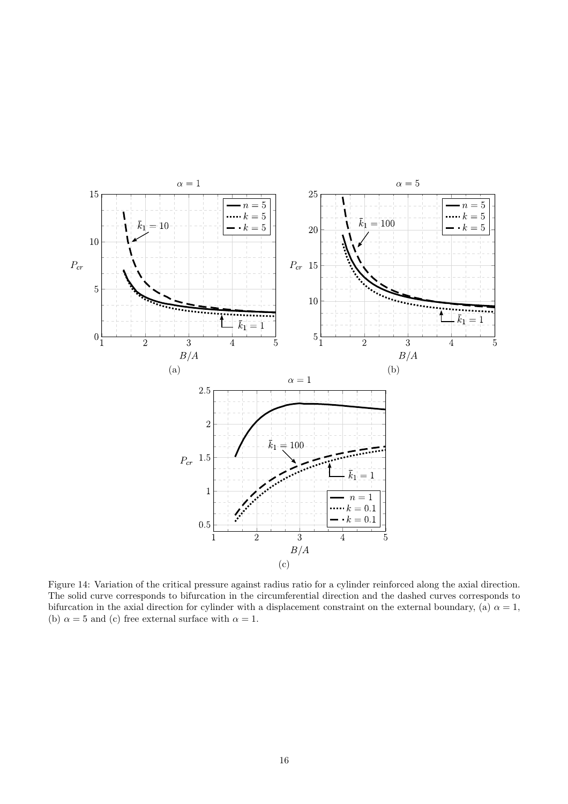

<span id="page-15-0"></span>Figure 14: Variation of the critical pressure against radius ratio for a cylinder reinforced along the axial direction. The solid curve corresponds to bifurcation in the circumferential direction and the dashed curves corresponds to bifurcation in the axial direction for cylinder with a displacement constraint on the external boundary, (a)  $\alpha = 1$ , (b)  $\alpha = 5$  and (c) free external surface with  $\alpha = 1$ .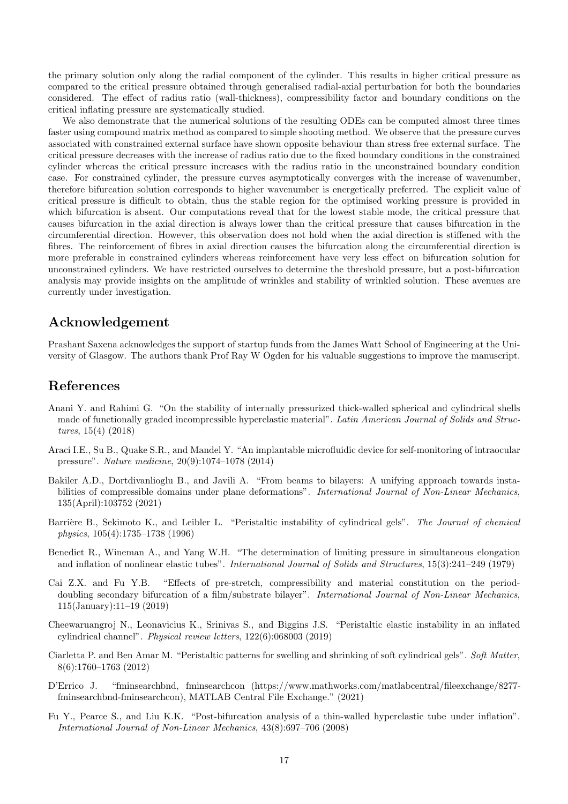the primary solution only along the radial component of the cylinder. This results in higher critical pressure as compared to the critical pressure obtained through generalised radial-axial perturbation for both the boundaries considered. The effect of radius ratio (wall-thickness), compressibility factor and boundary conditions on the critical inflating pressure are systematically studied.

We also demonstrate that the numerical solutions of the resulting ODEs can be computed almost three times faster using compound matrix method as compared to simple shooting method. We observe that the pressure curves associated with constrained external surface have shown opposite behaviour than stress free external surface. The critical pressure decreases with the increase of radius ratio due to the fixed boundary conditions in the constrained cylinder whereas the critical pressure increases with the radius ratio in the unconstrained boundary condition case. For constrained cylinder, the pressure curves asymptotically converges with the increase of wavenumber, therefore bifurcation solution corresponds to higher wavenumber is energetically preferred. The explicit value of critical pressure is difficult to obtain, thus the stable region for the optimised working pressure is provided in which bifurcation is absent. Our computations reveal that for the lowest stable mode, the critical pressure that causes bifurcation in the axial direction is always lower than the critical pressure that causes bifurcation in the circumferential direction. However, this observation does not hold when the axial direction is stiffened with the fibres. The reinforcement of fibres in axial direction causes the bifurcation along the circumferential direction is more preferable in constrained cylinders whereas reinforcement have very less effect on bifurcation solution for unconstrained cylinders. We have restricted ourselves to determine the threshold pressure, but a post-bifurcation analysis may provide insights on the amplitude of wrinkles and stability of wrinkled solution. These avenues are currently under investigation.

### Acknowledgement

Prashant Saxena acknowledges the support of startup funds from the James Watt School of Engineering at the University of Glasgow. The authors thank Prof Ray W Ogden for his valuable suggestions to improve the manuscript.

### References

- <span id="page-16-8"></span>Anani Y. and Rahimi G. "On the stability of internally pressurized thick-walled spherical and cylindrical shells made of functionally graded incompressible hyperelastic material". Latin American Journal of Solids and Structures, 15(4) (2018)
- <span id="page-16-7"></span>Araci I.E., Su B., Quake S.R., and Mandel Y. "An implantable microfluidic device for self-monitoring of intraocular pressure". Nature medicine, 20(9):1074–1078 (2014)
- <span id="page-16-6"></span>Bakiler A.D., Dortdivanlioglu B., and Javili A. "From beams to bilayers: A unifying approach towards instabilities of compressible domains under plane deformations". International Journal of Non-Linear Mechanics, 135(April):103752 (2021)
- <span id="page-16-0"></span>Barrière B., Sekimoto K., and Leibler L. "Peristaltic instability of cylindrical gels". The Journal of chemical physics, 105(4):1735–1738 (1996)
- <span id="page-16-2"></span>Benedict R., Wineman A., and Yang W.H. "The determination of limiting pressure in simultaneous elongation and inflation of nonlinear elastic tubes". International Journal of Solids and Structures, 15(3):241–249 (1979)
- <span id="page-16-5"></span>Cai Z.X. and Fu Y.B. "Effects of pre-stretch, compressibility and material constitution on the perioddoubling secondary bifurcation of a film/substrate bilayer". International Journal of Non-Linear Mechanics, 115(January):11–19 (2019)
- <span id="page-16-4"></span>Cheewaruangroj N., Leonavicius K., Srinivas S., and Biggins J.S. "Peristaltic elastic instability in an inflated cylindrical channel". Physical review letters, 122(6):068003 (2019)
- <span id="page-16-1"></span>Ciarletta P. and Ben Amar M. "Peristaltic patterns for swelling and shrinking of soft cylindrical gels". Soft Matter, 8(6):1760–1763 (2012)
- <span id="page-16-9"></span>D'Errico J. "fminsearchbnd, fminsearchcon (https://www.mathworks.com/matlabcentral/fileexchange/8277 fminsearchbnd-fminsearchcon), MATLAB Central File Exchange." (2021)
- <span id="page-16-3"></span>Fu Y., Pearce S., and Liu K.K. "Post-bifurcation analysis of a thin-walled hyperelastic tube under inflation". International Journal of Non-Linear Mechanics, 43(8):697–706 (2008)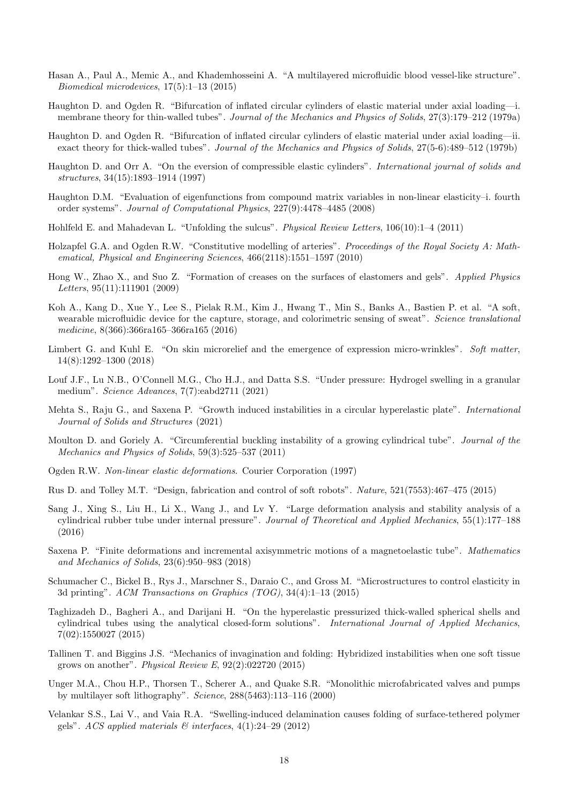- <span id="page-17-6"></span>Hasan A., Paul A., Memic A., and Khademhosseini A. "A multilayered microfluidic blood vessel-like structure". Biomedical microdevices, 17(5):1–13 (2015)
- <span id="page-17-1"></span>Haughton D. and Ogden R. "Bifurcation of inflated circular cylinders of elastic material under axial loading—i. membrane theory for thin-walled tubes". Journal of the Mechanics and Physics of Solids, 27(3):179–212 (1979a)
- <span id="page-17-13"></span>Haughton D. and Ogden R. "Bifurcation of inflated circular cylinders of elastic material under axial loading—ii. exact theory for thick-walled tubes". Journal of the Mechanics and Physics of Solids, 27(5-6):489–512 (1979b)
- <span id="page-17-18"></span>Haughton D. and Orr A. "On the eversion of compressible elastic cylinders". International journal of solids and structures, 34(15):1893–1914 (1997)
- <span id="page-17-19"></span>Haughton D.M. "Evaluation of eigenfunctions from compound matrix variables in non-linear elasticity–i. fourth order systems". Journal of Computational Physics, 227(9):4478–4485 (2008)
- <span id="page-17-3"></span>Hohlfeld E. and Mahadevan L. "Unfolding the sulcus". Physical Review Letters, 106(10):1–4 (2011)
- <span id="page-17-21"></span>Holzapfel G.A. and Ogden R.W. "Constitutive modelling of arteries". Proceedings of the Royal Society A: Mathematical, Physical and Engineering Sciences, 466(2118):1551–1597 (2010)
- <span id="page-17-2"></span>Hong W., Zhao X., and Suo Z. "Formation of creases on the surfaces of elastomers and gels". Applied Physics Letters, 95(11):111901 (2009)
- <span id="page-17-8"></span>Koh A., Kang D., Xue Y., Lee S., Pielak R.M., Kim J., Hwang T., Min S., Banks A., Bastien P. et al. "A soft, wearable microfluidic device for the capture, storage, and colorimetric sensing of sweat". Science translational medicine, 8(366):366ra165–366ra165 (2016)
- <span id="page-17-16"></span>Limbert G. and Kuhl E. "On skin microrelief and the emergence of expression micro-wrinkles". Soft matter, 14(8):1292–1300 (2018)
- <span id="page-17-12"></span>Louf J.F., Lu N.B., O'Connell M.G., Cho H.J., and Datta S.S. "Under pressure: Hydrogel swelling in a granular medium". Science Advances, 7(7):eabd2711 (2021)
- <span id="page-17-20"></span>Mehta S., Raju G., and Saxena P. "Growth induced instabilities in a circular hyperelastic plate". International Journal of Solids and Structures (2021)
- <span id="page-17-0"></span>Moulton D. and Goriely A. "Circumferential buckling instability of a growing cylindrical tube". Journal of the Mechanics and Physics of Solids, 59(3):525–537 (2011)
- <span id="page-17-15"></span>Ogden R.W. Non-linear elastic deformations. Courier Corporation (1997)
- <span id="page-17-9"></span>Rus D. and Tolley M.T. "Design, fabrication and control of soft robots". Nature, 521(7553):467–475 (2015)
- <span id="page-17-14"></span>Sang J., Xing S., Liu H., Li X., Wang J., and Lv Y. "Large deformation analysis and stability analysis of a cylindrical rubber tube under internal pressure". Journal of Theoretical and Applied Mechanics, 55(1):177–188 (2016)
- <span id="page-17-17"></span>Saxena P. "Finite deformations and incremental axisymmetric motions of a magnetoelastic tube". Mathematics and Mechanics of Solids, 23(6):950–983 (2018)
- <span id="page-17-10"></span>Schumacher C., Bickel B., Rys J., Marschner S., Daraio C., and Gross M. "Microstructures to control elasticity in 3d printing". ACM Transactions on Graphics (TOG), 34(4):1–13 (2015)
- <span id="page-17-7"></span>Taghizadeh D., Bagheri A., and Darijani H. "On the hyperelastic pressurized thick-walled spherical shells and cylindrical tubes using the analytical closed-form solutions". International Journal of Applied Mechanics, 7(02):1550027 (2015)
- <span id="page-17-4"></span>Tallinen T. and Biggins J.S. "Mechanics of invagination and folding: Hybridized instabilities when one soft tissue grows on another". Physical Review E,  $92(2):022720$  (2015)
- <span id="page-17-11"></span>Unger M.A., Chou H.P., Thorsen T., Scherer A., and Quake S.R. "Monolithic microfabricated valves and pumps by multilayer soft lithography". Science, 288(5463):113–116 (2000)
- <span id="page-17-5"></span>Velankar S.S., Lai V., and Vaia R.A. "Swelling-induced delamination causes folding of surface-tethered polymer gels". ACS applied materials  $\mathcal{B}$  interfaces, 4(1):24–29 (2012)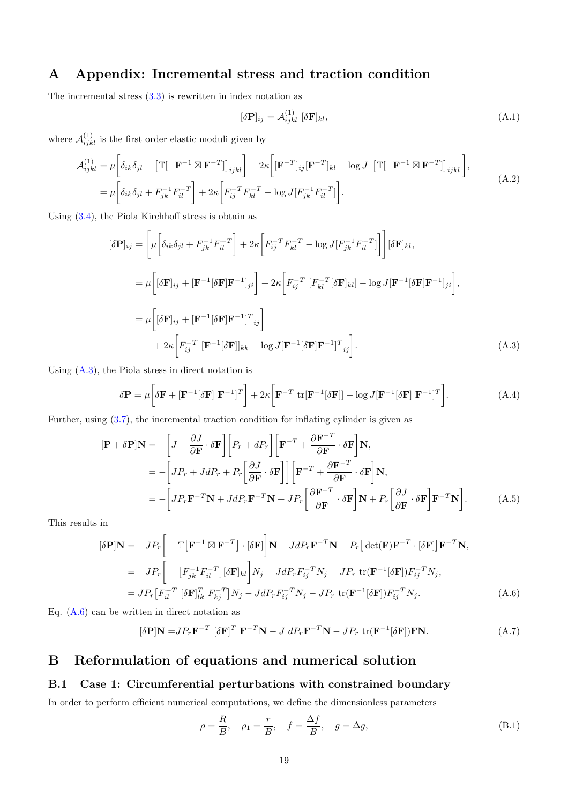# <span id="page-18-0"></span>A Appendix: Incremental stress and traction condition

The incremental stress  $(3.3)$  is rewritten in index notation as

<span id="page-18-2"></span>
$$
[\delta \mathbf{P}]_{ij} = \mathcal{A}_{ijkl}^{(1)} [\delta \mathbf{F}]_{kl},\tag{A.1}
$$

where  $\mathcal{A}_{ijkl}^{(1)}$  is the first order elastic moduli given by

$$
\mathcal{A}_{ijkl}^{(1)} = \mu \bigg[ \delta_{ik} \delta_{jl} - \big[ \mathbb{T} \big[ - \mathbf{F}^{-1} \boxtimes \mathbf{F}^{-T} \big] \big]_{ijkl} \bigg] + 2\kappa \bigg[ [\mathbf{F}^{-T}]_{ij} [\mathbf{F}^{-T}]_{kl} + \log J \big[ \mathbb{T} \big[ - \mathbf{F}^{-1} \boxtimes \mathbf{F}^{-T} \big] \big]_{ijkl} \bigg],
$$
\n
$$
= \mu \bigg[ \delta_{ik} \delta_{jl} + F_{jk}^{-1} F_{il}^{-T} \bigg] + 2\kappa \bigg[ F_{ij}^{-T} F_{kl}^{-T} - \log J [F_{jk}^{-1} F_{il}^{-T} \big] \bigg].
$$
\n(A.2)

Using [\(3.4\)](#page-6-3), the Piola Kirchhoff stress is obtain as

$$
[\delta \mathbf{P}]_{ij} = \left[ \mu \left[ \delta_{ik} \delta_{jl} + F_{jk}^{-1} F_{il}^{-T} \right] + 2\kappa \left[ F_{ij}^{-T} F_{kl}^{-T} - \log J[F_{jk}^{-1} F_{il}^{-T}] \right] \right] [\delta \mathbf{F}]_{kl},
$$
  
\n
$$
= \mu \left[ [\delta \mathbf{F}]_{ij} + [\mathbf{F}^{-1} [\delta \mathbf{F}] \mathbf{F}^{-1}]_{ji} \right] + 2\kappa \left[ F_{ij}^{-T} \left[ F_{kl}^{-T} [\delta \mathbf{F}]_{kl} \right] - \log J[\mathbf{F}^{-1} [\delta \mathbf{F}] \mathbf{F}^{-1}]_{ji} \right],
$$
  
\n
$$
= \mu \left[ [\delta \mathbf{F}]_{ij} + [\mathbf{F}^{-1} [\delta \mathbf{F}] \mathbf{F}^{-1}]_{ij}^{T} \right]
$$
  
\n
$$
+ 2\kappa \left[ F_{ij}^{-T} \left[ \mathbf{F}^{-1} [\delta \mathbf{F}] \right]_{kk} - \log J[\mathbf{F}^{-1} [\delta \mathbf{F}] \mathbf{F}^{-1}]_{ij}^{T} \right].
$$
 (A.3)

Using [\(A.3\)](#page-18-2), the Piola stress in direct notation is

$$
\delta \mathbf{P} = \mu \left[ \delta \mathbf{F} + [\mathbf{F}^{-1} [\delta \mathbf{F}] \ \mathbf{F}^{-1}]^T \right] + 2\kappa \left[ \mathbf{F}^{-T} \ \text{tr}[\mathbf{F}^{-1} [\delta \mathbf{F}]] - \log J [\mathbf{F}^{-1} [\delta \mathbf{F}] \ \mathbf{F}^{-1}]^T \right]. \tag{A.4}
$$

Further, using [\(3.7\)](#page-6-2), the incremental traction condition for inflating cylinder is given as

$$
[\mathbf{P} + \delta \mathbf{P}] \mathbf{N} = -\left[J + \frac{\partial J}{\partial \mathbf{F}} \cdot \delta \mathbf{F}\right] \left[P_r + dP_r\right] \left[\mathbf{F}^{-T} + \frac{\partial \mathbf{F}^{-T}}{\partial \mathbf{F}} \cdot \delta \mathbf{F}\right] \mathbf{N},
$$
  
\n
$$
= -\left[JP_r + J dP_r + P_r \left[\frac{\partial J}{\partial \mathbf{F}} \cdot \delta \mathbf{F}\right]\right] \left[\mathbf{F}^{-T} + \frac{\partial \mathbf{F}^{-T}}{\partial \mathbf{F}} \cdot \delta \mathbf{F}\right] \mathbf{N},
$$
  
\n
$$
= -\left[JP_r \mathbf{F}^{-T} \mathbf{N} + J dP_r \mathbf{F}^{-T} \mathbf{N} + J P_r \left[\frac{\partial \mathbf{F}^{-T}}{\partial \mathbf{F}} \cdot \delta \mathbf{F}\right] \mathbf{N} + P_r \left[\frac{\partial J}{\partial \mathbf{F}} \cdot \delta \mathbf{F}\right] \mathbf{F}^{-T} \mathbf{N}\right].
$$
 (A.5)

This results in

$$
[\delta \mathbf{P}] \mathbf{N} = -J P_r \Big[ -\mathbb{T} \Big[ \mathbf{F}^{-1} \boxtimes \mathbf{F}^{-T} \Big] \cdot [\delta \mathbf{F}] \Big] \mathbf{N} - J d P_r \mathbf{F}^{-T} \mathbf{N} - P_r \Big[ \det(\mathbf{F}) \mathbf{F}^{-T} \cdot [\delta \mathbf{F}] \Big] \mathbf{F}^{-T} \mathbf{N},
$$
  
\n
$$
= -J P_r \Big[ - \Big[ F_{jk}^{-1} F_{il}^{-T} \Big] [\delta \mathbf{F}]_{kl} \Big] N_j - J d P_r F_{ij}^{-T} N_j - J P_r \operatorname{tr}(\mathbf{F}^{-1} [\delta \mathbf{F}]) F_{ij}^{-T} N_j,
$$
  
\n
$$
= J P_r \Big[ F_{il}^{-T} \Big[ \delta \mathbf{F} \Big]_{lk}^T F_{kj}^{-T} \Big] N_j - J d P_r F_{ij}^{-T} N_j - J P_r \operatorname{tr}(\mathbf{F}^{-1} [\delta \mathbf{F}]) F_{ij}^{-T} N_j.
$$
\n(A.6)

Eq. [\(A.6\)](#page-18-3) can be written in direct notation as

$$
[\delta \mathbf{P}] \mathbf{N} = J P_r \mathbf{F}^{-T} [\delta \mathbf{F}]^T \mathbf{F}^{-T} \mathbf{N} - J dP_r \mathbf{F}^{-T} \mathbf{N} - J P_r \text{ tr}(\mathbf{F}^{-1} [\delta \mathbf{F}]) \mathbf{F} \mathbf{N}.
$$
 (A.7)

# <span id="page-18-1"></span>B Reformulation of equations and numerical solution

### B.1 Case 1: Circumferential perturbations with constrained boundary

In order to perform efficient numerical computations, we define the dimensionless parameters

<span id="page-18-4"></span><span id="page-18-3"></span>
$$
\rho = \frac{R}{B}, \quad \rho_1 = \frac{r}{B}, \quad f = \frac{\Delta f}{B}, \quad g = \Delta g,
$$
\n(B.1)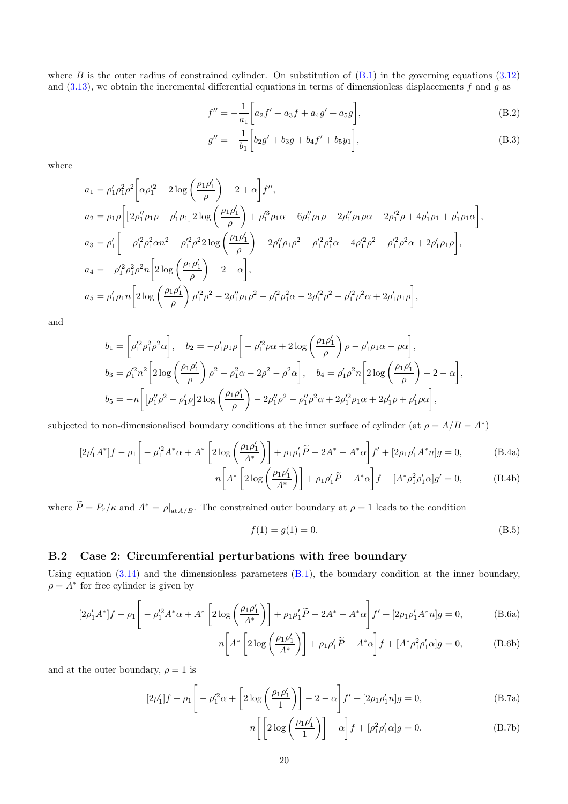where  $B$  is the outer radius of constrained cylinder. On substitution of  $(B.1)$  in the governing equations  $(3.12)$ and  $(3.13)$ , we obtain the incremental differential equations in terms of dimensionless displacements f and g as

$$
f'' = -\frac{1}{a_1} \bigg[ a_2 f' + a_3 f + a_4 g' + a_5 g \bigg],
$$
\n(B.2)

<span id="page-19-1"></span><span id="page-19-0"></span>
$$
g'' = -\frac{1}{b_1} \left[ b_2 g' + b_3 g + b_4 f' + b_5 y_1 \right],
$$
\n(B.3)

where

$$
a_1 = \rho'_1 \rho_1^2 \rho^2 \left[ \alpha \rho'_1{}^2 - 2 \log \left( \frac{\rho_1 \rho'_1}{\rho} \right) + 2 + \alpha \right] f'',
$$
  
\n
$$
a_2 = \rho_1 \rho \left[ \left[ 2 \rho''_1 \rho_1 \rho - \rho'_1 \rho_1 \right] 2 \log \left( \frac{\rho_1 \rho'_1}{\rho} \right) + \rho'_1{}^3 \rho_1 \alpha - 6 \rho''_1 \rho_1 \rho - 2 \rho''_1 \rho_1 \rho \alpha - 2 \rho'_1{}^2 \rho + 4 \rho'_1 \rho_1 + \rho'_1 \rho_1 \alpha \right],
$$
  
\n
$$
a_3 = \rho'_1 \left[ -\rho'_1{}^2 \rho_1^2 \alpha n^2 + \rho'_1{}^2 \rho^2 2 \log \left( \frac{\rho_1 \rho'_1}{\rho} \right) - 2 \rho''_1 \rho_1 \rho^2 - \rho'_1{}^2 \rho_1^2 \alpha - 4 \rho'_1{}^2 \rho^2 - \rho'_1{}^2 \rho^2 \alpha + 2 \rho'_1 \rho_1 \rho \right],
$$
  
\n
$$
a_4 = -\rho'_1{}^2 \rho_1^2 \rho^2 n \left[ 2 \log \left( \frac{\rho_1 \rho'_1}{\rho} \right) - 2 - \alpha \right],
$$
  
\n
$$
a_5 = \rho'_1 \rho_1 n \left[ 2 \log \left( \frac{\rho_1 \rho'_1}{\rho} \right) \rho'_1{}^2 \rho^2 - 2 \rho''_1 \rho_1 \rho^2 - \rho'_1{}^2 \rho_1^2 \alpha - 2 \rho'_1{}^2 \rho^2 - \rho'_1{}^2 \rho^2 \alpha + 2 \rho'_1 \rho_1 \rho \right],
$$

and

$$
b_1 = \left[\rho_1'^2 \rho_1^2 \rho^2 \alpha\right], \quad b_2 = -\rho_1' \rho_1 \rho \left[-\rho_1'^2 \rho \alpha + 2 \log \left(\frac{\rho_1 \rho_1'}{\rho}\right) \rho - \rho_1' \rho_1 \alpha - \rho \alpha\right],
$$
  
\n
$$
b_3 = \rho_1'^2 n^2 \left[2 \log \left(\frac{\rho_1 \rho_1'}{\rho}\right) \rho^2 - \rho_1^2 \alpha - 2\rho^2 - \rho^2 \alpha\right], \quad b_4 = \rho_1' \rho^2 n \left[2 \log \left(\frac{\rho_1 \rho_1'}{\rho}\right) - 2 - \alpha\right],
$$
  
\n
$$
b_5 = -n \left[\left[\rho_1'' \rho^2 - \rho_1' \rho\right] 2 \log \left(\frac{\rho_1 \rho_1'}{\rho}\right) - 2\rho_1'' \rho^2 - \rho_1'' \rho^2 \alpha + 2\rho_1'^2 \rho_1 \alpha + 2\rho_1' \rho + \rho_1' \rho \alpha\right],
$$

subjected to non-dimensionalised boundary conditions at the inner surface of cylinder (at  $\rho = A/B = A^*$ )

$$
[2\rho'_1 A^* ]f - \rho_1 \left[ -\rho_1'^2 A^* \alpha + A^* \left[ 2 \log \left( \frac{\rho_1 \rho'_1}{A^*} \right) \right] + \rho_1 \rho'_1 \tilde{P} - 2A^* - A^* \alpha \right] f' + [2\rho_1 \rho'_1 A^* n] g = 0, \tag{B.4a}
$$

$$
n\left[A^*\left[2\log\left(\frac{\rho_1\rho_1'}{A^*}\right)\right]+\rho_1\rho_1'\widetilde{P}-A^*\alpha\right]f+[A^*\rho_1^2\rho_1'\alpha]g'=0,
$$
 (B.4b)

where  $\widetilde{P} = P_r/\kappa$  and  $A^* = \rho|_{\text{at }A/B}$ . The constrained outer boundary at  $\rho = 1$  leads to the condition

<span id="page-19-3"></span><span id="page-19-2"></span>
$$
f(1) = g(1) = 0.
$$
 (B.5)

### B.2 Case 2: Circumferential perturbations with free boundary

Using equation  $(3.14)$  and the dimensionless parameters  $(B.1)$ , the boundary condition at the inner boundary,  $\rho = A^*$  for free cylinder is given by

$$
[2\rho'_1 A^*]f - \rho_1 \left[ -\rho_1'^2 A^* \alpha + A^* \left[ 2 \log \left( \frac{\rho_1 \rho'_1}{A^*} \right) \right] + \rho_1 \rho'_1 \widetilde{P} - 2A^* - A^* \alpha \right] f' + [2\rho_1 \rho'_1 A^* n]g = 0, \tag{B.6a}
$$

<span id="page-19-5"></span><span id="page-19-4"></span>
$$
n\left[A^*\left[2\log\left(\frac{\rho_1\rho_1'}{A^*}\right)\right]+\rho_1\rho_1'\widetilde{P}-A^*\alpha\right]f+[A^*\rho_1^2\rho_1'\alpha]g=0,\tag{B.6b}
$$

and at the outer boundary,  $\rho = 1$  is

$$
[2\rho'_1]f - \rho_1 \left[ -\rho_1'^2 \alpha + \left[ 2\log\left(\frac{\rho_1 \rho'_1}{1}\right) \right] - 2 - \alpha \right] f' + [2\rho_1 \rho'_1 n]g = 0, \tag{B.7a}
$$

$$
n\left[\left[2\log\left(\frac{\rho_1\rho_1'}{1}\right)\right] - \alpha\right]f + [\rho_1^2\rho_1'\alpha]g = 0.
$$
 (B.7b)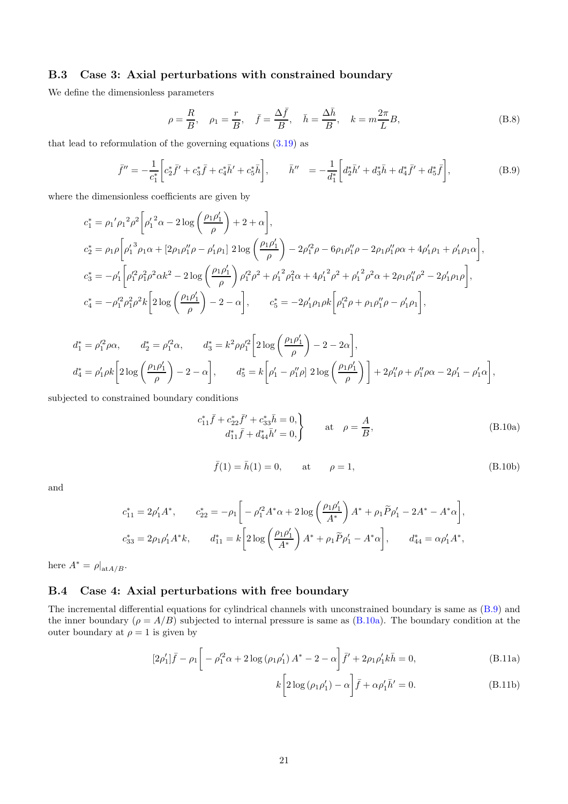### B.3 Case 3: Axial perturbations with constrained boundary

We define the dimensionless parameters

$$
\rho = \frac{R}{B}, \quad \rho_1 = \frac{r}{B}, \quad \bar{f} = \frac{\Delta \bar{f}}{B}, \quad \bar{h} = \frac{\Delta \bar{h}}{B}, \quad k = m \frac{2\pi}{L} B,
$$
\n(B.8)

that lead to reformulation of the governing equations [\(3.19\)](#page-8-3) as

<span id="page-20-0"></span>
$$
\bar{f}'' = -\frac{1}{c_1^*} \left[ c_2^* \bar{f}' + c_3^* \bar{f} + c_4^* \bar{h}' + c_5^* \bar{h} \right], \qquad \bar{h}'' = -\frac{1}{d_1^*} \left[ d_2^* \bar{h}' + d_3^* \bar{h} + d_4^* \bar{f}' + d_5^* \bar{f} \right], \tag{B.9}
$$

where the dimensionless coefficients are given by

$$
c_{1}^{*} = \rho_{1}' \rho_{1}^{2} \rho^{2} \left[ \rho_{1}'^{2} \alpha - 2 \log \left( \frac{\rho_{1} \rho_{1}'}{\rho} \right) + 2 + \alpha \right],
$$
  
\n
$$
c_{2}^{*} = \rho_{1} \rho \left[ \rho_{1}'^{3} \rho_{1} \alpha + \left[ 2 \rho_{1} \rho_{1}'' \rho - \rho_{1}' \rho_{1} \right] 2 \log \left( \frac{\rho_{1} \rho_{1}'}{\rho} \right) - 2 \rho_{1}'^{2} \rho - 6 \rho_{1} \rho_{1}'' \rho - 2 \rho_{1} \rho_{1}' \rho \alpha + 4 \rho_{1}' \rho_{1} + \rho_{1}' \rho_{1} \alpha \right],
$$
  
\n
$$
c_{3}^{*} = -\rho_{1}' \left[ \rho_{1}'^{2} \rho_{1}^{2} \rho^{2} \alpha k^{2} - 2 \log \left( \frac{\rho_{1} \rho_{1}'}{\rho} \right) \rho_{1}'^{2} \rho^{2} + \rho_{1}'^{2} \rho_{1}^{2} \alpha + 4 \rho_{1}'^{2} \rho^{2} + \rho_{1}'^{2} \rho^{2} \alpha + 2 \rho_{1} \rho_{1}'' \rho^{2} - 2 \rho_{1}' \rho_{1} \rho \right],
$$
  
\n
$$
c_{4}^{*} = -\rho_{1}'^{2} \rho_{1}' \rho^{2} k \left[ 2 \log \left( \frac{\rho_{1} \rho_{1}'}{\rho} \right) - 2 - \alpha \right], \qquad c_{5}^{*} = -2 \rho_{1}' \rho_{1} \rho k \left[ \rho_{1}'^{2} \rho + \rho_{1} \rho_{1}'' \rho - \rho_{1}' \rho_{1} \right],
$$

$$
d_1^* = \rho_1'^2 \rho \alpha, \qquad d_2^* = \rho_1'^2 \alpha, \qquad d_3^* = k^2 \rho \rho_1'^2 \left[ 2 \log \left( \frac{\rho_1 \rho_1'}{\rho} \right) - 2 - 2\alpha \right],
$$
  

$$
d_4^* = \rho_1' \rho k \left[ 2 \log \left( \frac{\rho_1 \rho_1'}{\rho} \right) - 2 - \alpha \right], \qquad d_5^* = k \left[ \rho_1' - \rho_1'' \rho \right] 2 \log \left( \frac{\rho_1 \rho_1'}{\rho} \right) \right] + 2\rho_1'' \rho + \rho_1'' \rho \alpha - 2\rho_1' - \rho_1' \alpha \right],
$$

subjected to constrained boundary conditions

<span id="page-20-2"></span><span id="page-20-1"></span>
$$
c_{11}^* \bar{f} + c_{22}^* \bar{f}' + c_{33}^* \bar{h} = 0, d_{11}^* \bar{f} + d_{44}^* \bar{h}' = 0,
$$
 at  $\rho = \frac{A}{B},$  (B.10a)

<span id="page-20-4"></span>
$$
\bar{f}(1) = \bar{h}(1) = 0,
$$
 at  $\rho = 1,$  (B.10b)

and

$$
c_{11}^* = 2\rho'_1 A^*, \t c_{22}^* = -\rho_1 \left[ -\rho'_1 A^* \alpha + 2 \log \left( \frac{\rho_1 \rho'_1}{A^*} \right) A^* + \rho_1 \widetilde{P} \rho'_1 - 2A^* - A^* \alpha \right],
$$
  

$$
c_{33}^* = 2\rho_1 \rho'_1 A^* k, \t d_{11}^* = k \left[ 2 \log \left( \frac{\rho_1 \rho'_1}{A^*} \right) A^* + \rho_1 \widetilde{P} \rho'_1 - A^* \alpha \right], \t d_{44}^* = \alpha \rho'_1 A^*,
$$

here  $A^* = \rho|_{\text{at }A/B}$ .

### B.4 Case 4: Axial perturbations with free boundary

The incremental differential equations for cylindrical channels with unconstrained boundary is same as [\(B.9\)](#page-20-0) and the inner boundary ( $\rho = A/B$ ) subjected to internal pressure is same as [\(B.10a\)](#page-20-2). The boundary condition at the outer boundary at  $\rho = 1$  is given by

<span id="page-20-3"></span>
$$
[2\rho'_1]\bar{f} - \rho_1 \left[ -\rho_1'^2 \alpha + 2 \log \left( \rho_1 \rho'_1 \right) A^* - 2 - \alpha \right] \bar{f}' + 2\rho_1 \rho'_1 k \bar{h} = 0, \tag{B.11a}
$$

$$
k\bigg[2\log\left(\rho_1\rho_1'\right)-\alpha\bigg]\bar{f}+\alpha\rho_1'\bar{h}'=0.\tag{B.11b}
$$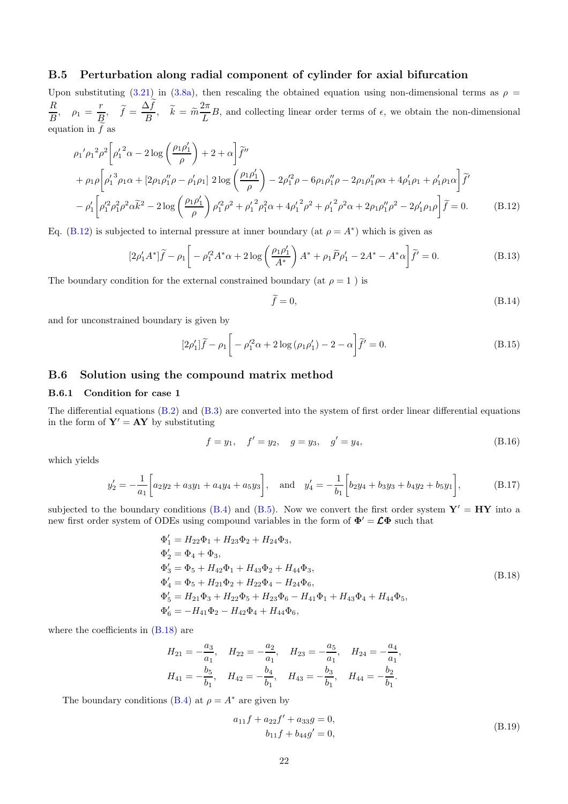### B.5 Perturbation along radial component of cylinder for axial bifurcation

Upon substituting [\(3.21\)](#page-9-1) in [\(3.8a\)](#page-6-5), then rescaling the obtained equation using non-dimensional terms as  $\rho =$ R  $\frac{R}{B}$ ,  $\rho_1 = \frac{r}{E}$  $\frac{r}{B}$ ,  $\widetilde{f} = \frac{\Delta f}{B}$  $\frac{\Delta f}{B}, \quad \tilde{k} = \tilde{m} \frac{2\pi}{L}$  $\frac{1}{L}B$ , and collecting linear order terms of  $\epsilon$ , we obtain the non-dimensional equation in  $f$  as

$$
\rho_1' \rho_1^2 \rho^2 \left[ \rho_1'{}^2 \alpha - 2 \log \left( \frac{\rho_1 \rho_1'}{\rho} \right) + 2 + \alpha \right] \tilde{f}''
$$
  
+ 
$$
\rho_1 \rho \left[ \rho_1'{}^3 \rho_1 \alpha + \left[ 2 \rho_1 \rho_1'' \rho - \rho_1' \rho_1 \right] 2 \log \left( \frac{\rho_1 \rho_1'}{\rho} \right) - 2 \rho_1'^2 \rho - 6 \rho_1 \rho_1'' \rho - 2 \rho_1 \rho_1'' \rho \alpha + 4 \rho_1' \rho_1 + \rho_1' \rho_1 \alpha \right] \tilde{f}'
$$
  
- 
$$
\rho_1' \left[ \rho_1'^2 \rho_1^2 \rho^2 \alpha \tilde{k}^2 - 2 \log \left( \frac{\rho_1 \rho_1'}{\rho} \right) \rho_1'^2 \rho^2 + \rho_1'^2 \rho_1^2 \alpha + 4 \rho_1'^2 \rho^2 + \rho_1'^2 \rho^2 \alpha + 2 \rho_1 \rho_1'' \rho^2 - 2 \rho_1' \rho_1 \rho \right] \tilde{f} = 0.
$$
 (B.12)

Eq. [\(B.12\)](#page-21-0) is subjected to internal pressure at inner boundary (at  $\rho = A^*$ ) which is given as

$$
[2\rho'_1 A^*]\tilde{f} - \rho_1 \left[ -\rho_1'^2 A^* \alpha + 2 \log \left( \frac{\rho_1 \rho'_1}{A^*} \right) A^* + \rho_1 \tilde{P} \rho'_1 - 2A^* - A^* \alpha \right] \tilde{f}' = 0.
$$
 (B.13)

The boundary condition for the external constrained boundary (at  $\rho = 1$ ) is

<span id="page-21-5"></span><span id="page-21-3"></span><span id="page-21-2"></span><span id="page-21-1"></span><span id="page-21-0"></span>
$$
\tilde{f} = 0,\tag{B.14}
$$

and for unconstrained boundary is given by

$$
[2\rho'_1]\tilde{f} - \rho_1 \left[ -\rho_1'^2 \alpha + 2\log\left(\rho_1 \rho'_1\right) - 2 - \alpha \right] \tilde{f}' = 0. \tag{B.15}
$$

### B.6 Solution using the compound matrix method

### B.6.1 Condition for case 1

The differential equations [\(B.2\)](#page-19-0) and [\(B.3\)](#page-19-1) are converted into the system of first order linear differential equations in the form of  $Y' = AY$  by substituting

$$
f = y_1, \quad f' = y_2, \quad g = y_3, \quad g' = y_4,
$$
 (B.16)

which yields

$$
y_2' = -\frac{1}{a_1} \left[ a_2 y_2 + a_3 y_1 + a_4 y_4 + a_5 y_3 \right], \text{ and } y_4' = -\frac{1}{b_1} \left[ b_2 y_4 + b_3 y_3 + b_4 y_2 + b_5 y_1 \right], \tag{B.17}
$$

subjected to the boundary conditions [\(B.4\)](#page-19-2) and [\(B.5\)](#page-19-3). Now we convert the first order system  $Y' = HY$  into a new first order system of ODEs using compound variables in the form of  $\Phi' = \mathcal{L}\Phi$  such that

<span id="page-21-4"></span>
$$
\Phi'_1 = H_{22}\Phi_1 + H_{23}\Phi_2 + H_{24}\Phi_3,
$$
  
\n
$$
\Phi'_2 = \Phi_4 + \Phi_3,
$$
  
\n
$$
\Phi'_3 = \Phi_5 + H_{42}\Phi_1 + H_{43}\Phi_2 + H_{44}\Phi_3,
$$
  
\n
$$
\Phi'_4 = \Phi_5 + H_{21}\Phi_2 + H_{22}\Phi_4 - H_{24}\Phi_6,
$$
  
\n
$$
\Phi'_5 = H_{21}\Phi_3 + H_{22}\Phi_5 + H_{23}\Phi_6 - H_{41}\Phi_1 + H_{43}\Phi_4 + H_{44}\Phi_5,
$$
  
\n
$$
\Phi'_6 = -H_{41}\Phi_2 - H_{42}\Phi_4 + H_{44}\Phi_6,
$$
\n(S.18)

where the coefficients in [\(B.18\)](#page-21-4) are

$$
H_{21} = -\frac{a_3}{a_1}, \quad H_{22} = -\frac{a_2}{a_1}, \quad H_{23} = -\frac{a_5}{a_1}, \quad H_{24} = -\frac{a_4}{a_1},
$$
  

$$
H_{41} = -\frac{b_5}{b_1}, \quad H_{42} = -\frac{b_4}{b_1}, \quad H_{43} = -\frac{b_3}{b_1}, \quad H_{44} = -\frac{b_2}{b_1}.
$$

The boundary conditions [\(B.4\)](#page-19-2) at  $\rho = A^*$  are given by

<span id="page-21-6"></span>
$$
a_{11}f + a_{22}f' + a_{33}g = 0,
$$
  
\n
$$
b_{11}f + b_{44}g' = 0,
$$
\n(B.19)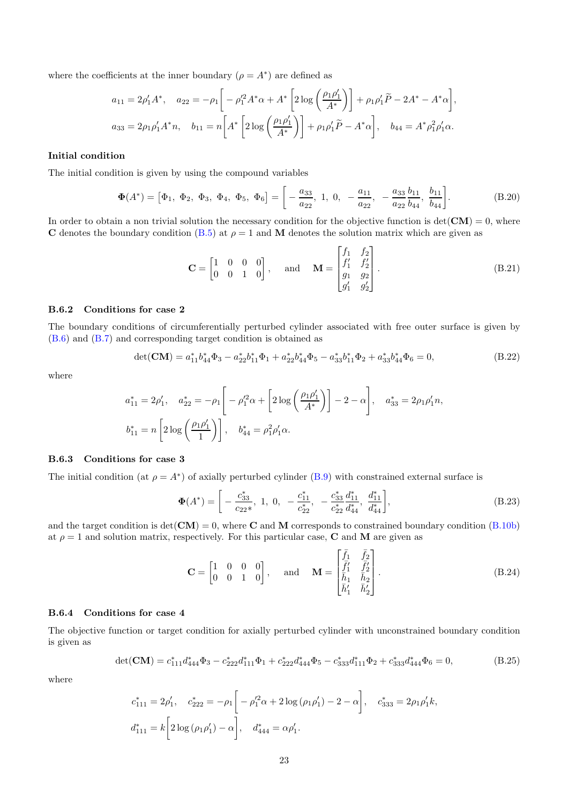where the coefficients at the inner boundary  $(\rho = A^*)$  are defined as

$$
a_{11} = 2\rho'_1 A^*, \quad a_{22} = -\rho_1 \left[ -\rho'_1 A^* \alpha + A^* \left[ 2 \log \left( \frac{\rho_1 \rho'_1}{A^*} \right) \right] + \rho_1 \rho'_1 \tilde{P} - 2A^* - A^* \alpha \right],
$$
  

$$
a_{33} = 2\rho_1 \rho'_1 A^* n, \quad b_{11} = n \left[ A^* \left[ 2 \log \left( \frac{\rho_1 \rho'_1}{A^*} \right) \right] + \rho_1 \rho'_1 \tilde{P} - A^* \alpha \right], \quad b_{44} = A^* \rho_1^2 \rho'_1 \alpha.
$$

#### Initial condition

The initial condition is given by using the compound variables

$$
\Phi(A^*) = [\Phi_1, \ \Phi_2, \ \Phi_3, \ \Phi_4, \ \Phi_5, \ \Phi_6] = \left[ -\frac{a_{33}}{a_{22}}, \ 1, \ 0, \ -\frac{a_{11}}{a_{22}}, \ -\frac{a_{33}}{a_{22}} \frac{b_{11}}{b_{44}}, \ \frac{b_{11}}{b_{44}} \right].
$$
 (B.20)

In order to obtain a non trivial solution the necessary condition for the objective function is  $det(CM) = 0$ , where C denotes the boundary condition [\(B.5\)](#page-19-3) at  $\rho = 1$  and M denotes the solution matrix which are given as

<span id="page-22-0"></span>
$$
\mathbf{C} = \begin{bmatrix} 1 & 0 & 0 & 0 \\ 0 & 0 & 1 & 0 \end{bmatrix}, \text{ and } \mathbf{M} = \begin{bmatrix} f_1 & f_2 \\ f'_1 & f'_2 \\ g_1 & g_2 \\ g'_1 & g'_2 \end{bmatrix}.
$$
 (B.21)

### B.6.2 Conditions for case 2

The boundary conditions of circumferentially perturbed cylinder associated with free outer surface is given by [\(B.6\)](#page-19-4) and [\(B.7\)](#page-19-5) and corresponding target condition is obtained as

$$
\det(\mathbf{CM}) = a_{11}^* b_{44}^* \Phi_3 - a_{22}^* b_{11}^* \Phi_1 + a_{22}^* b_{44}^* \Phi_5 - a_{33}^* b_{11}^* \Phi_2 + a_{33}^* b_{44}^* \Phi_6 = 0,
$$
\n(B.22)

where

$$
a_{11}^* = 2\rho_1', \quad a_{22}^* = -\rho_1 \left[ -\rho_1'^2 \alpha + \left[ 2\log\left(\frac{\rho_1 \rho_1'}{A^*}\right) \right] - 2 - \alpha \right], \quad a_{33}^* = 2\rho_1 \rho_1' n,
$$
  

$$
b_{11}^* = n \left[ 2\log\left(\frac{\rho_1 \rho_1'}{1}\right) \right], \quad b_{44}^* = \rho_1^2 \rho_1' \alpha.
$$

#### B.6.3 Conditions for case 3

The initial condition (at  $\rho = A^*$ ) of axially perturbed cylinder [\(B.9\)](#page-20-0) with constrained external surface is

$$
\Phi(A^*) = \left[ -\frac{c_{33}^*}{c_{22}^*}, 1, 0, -\frac{c_{11}^*}{c_{22}^*}, -\frac{c_{33}^*}{c_{22}^*} \frac{d_{11}^*}{d_{44}^*}, \frac{d_{11}^*}{d_{44}^*} \right],\tag{B.23}
$$

and the target condition is  $det(\text{CM}) = 0$ , where **C** and **M** corresponds to constrained boundary condition [\(B.10b\)](#page-20-4) at  $\rho = 1$  and solution matrix, respectively. For this particular case, **C** and **M** are given as

$$
\mathbf{C} = \begin{bmatrix} 1 & 0 & 0 & 0 \\ 0 & 0 & 1 & 0 \end{bmatrix}, \text{ and } \mathbf{M} = \begin{bmatrix} \bar{f}_1 & \bar{f}_2 \\ \bar{f}_1' & \bar{f}_2' \\ \bar{h}_1 & \bar{h}_2 \\ \bar{h}_1' & \bar{h}_2' \end{bmatrix}.
$$
 (B.24)

#### B.6.4 Conditions for case 4

The objective function or target condition for axially perturbed cylinder with unconstrained boundary condition is given as

$$
\det(\mathbf{CM}) = c_{111}^* d_{444}^* \Phi_3 - c_{222}^* d_{111}^* \Phi_1 + c_{222}^* d_{444}^* \Phi_5 - c_{333}^* d_{111}^* \Phi_2 + c_{333}^* d_{444}^* \Phi_6 = 0,
$$
\n(B.25)

where

$$
c_{111}^* = 2\rho_1', \quad c_{222}^* = -\rho_1 \left[ -\rho_1'^2 \alpha + 2\log\left(\rho_1 \rho_1'\right) - 2 - \alpha \right], \quad c_{333}^* = 2\rho_1 \rho_1' k,
$$
  

$$
d_{111}^* = k \left[ 2\log\left(\rho_1 \rho_1'\right) - \alpha \right], \quad d_{444}^* = \alpha \rho_1'.
$$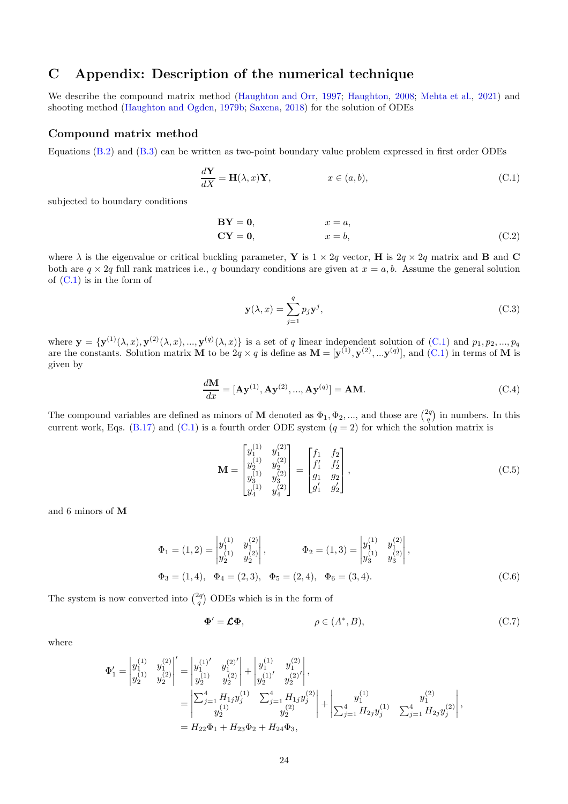# <span id="page-23-0"></span>C Appendix: Description of the numerical technique

We describe the compound matrix method [\(Haughton and Orr,](#page-17-18) [1997](#page-17-18); [Haughton,](#page-17-19) [2008;](#page-17-19) [Mehta et al.,](#page-17-20) [2021\)](#page-17-20) and shooting method [\(Haughton and Ogden](#page-17-13), [1979b;](#page-17-13) [Saxena,](#page-17-17) [2018\)](#page-17-17) for the solution of ODEs

### Compound matrix method

Equations [\(B.2\)](#page-19-0) and [\(B.3\)](#page-19-1) can be written as two-point boundary value problem expressed in first order ODEs

$$
\frac{d\mathbf{Y}}{dX} = \mathbf{H}(\lambda, x)\mathbf{Y}, \qquad x \in (a, b), \tag{C.1}
$$

subjected to boundary conditions

$$
BY = 0, \t x = a,
$$
  
\n
$$
CY = 0, \t x = b,
$$
\n(C.2)

where  $\lambda$  is the eigenvalue or critical buckling parameter, Y is  $1 \times 2q$  vector, H is  $2q \times 2q$  matrix and B and C both are  $q \times 2q$  full rank matrices i.e., q boundary conditions are given at  $x = a, b$ . Assume the general solution of  $(C.1)$  is in the form of

<span id="page-23-1"></span>
$$
\mathbf{y}(\lambda, x) = \sum_{j=1}^{q} p_j \mathbf{y}^j,\tag{C.3}
$$

where  $\mathbf{y} = {\mathbf{y}^{(1)}(\lambda, x), \mathbf{y}^{(2)}(\lambda, x), ..., \mathbf{y}^{(q)}(\lambda, x)}$  is a set of q linear independent solution of [\(C.1\)](#page-23-1) and  $p_1, p_2, ..., p_q$ are the constants. Solution matrix M to be  $2q \times q$  is define as  $\mathbf{M} = [\mathbf{y}^{(1)}, \mathbf{y}^{(2)}, \dots \mathbf{y}^{(q)}]$ , and  $(C.1)$  in terms of M is given by

$$
\frac{d\mathbf{M}}{dx} = [\mathbf{A}\mathbf{y}^{(1)}, \mathbf{A}\mathbf{y}^{(2)}, ..., \mathbf{A}\mathbf{y}^{(q)}] = \mathbf{A}\mathbf{M}.
$$
 (C.4)

The compound variables are defined as minors of M denoted as  $\Phi_1, \Phi_2, ...,$  and those are  $\binom{2q}{q}$  in numbers. In this current work, Eqs. [\(B.17\)](#page-21-5) and [\(C.1\)](#page-23-1) is a fourth order ODE system  $(q = 2)$  for which the solution matrix is

$$
\mathbf{M} = \begin{bmatrix} y_1^{(1)} & y_1^{(2)} \\ y_2^{(1)} & y_2^{(2)} \\ y_3^{(1)} & y_3^{(2)} \\ y_4^{(1)} & y_4^{(2)} \end{bmatrix} = \begin{bmatrix} f_1 & f_2 \\ f_1' & f_2' \\ g_1 & g_2 \\ g_1' & g_2' \end{bmatrix},
$$
\n(C.5)

and 6 minors of M

$$
\Phi_1 = (1, 2) = \begin{vmatrix} y_1^{(1)} & y_1^{(2)} \\ y_2^{(1)} & y_2^{(2)} \end{vmatrix}, \qquad \Phi_2 = (1, 3) = \begin{vmatrix} y_1^{(1)} & y_1^{(2)} \\ y_3^{(1)} & y_3^{(2)} \end{vmatrix},
$$
  
\n
$$
\Phi_3 = (1, 4), \quad \Phi_4 = (2, 3), \quad \Phi_5 = (2, 4), \quad \Phi_6 = (3, 4).
$$
 (C.6)

The system is now converted into  $\binom{2q}{q}$  ODEs which is in the form of

<span id="page-23-2"></span>
$$
\Phi' = \mathcal{L}\Phi, \qquad \rho \in (A^*, B), \tag{C.7}
$$

where

$$
\begin{split} \Phi_1' &= \begin{vmatrix} y_1^{(1)} & y_1^{(2)} \\ y_2^{(1)} & y_2^{(2)} \end{vmatrix}' = \begin{vmatrix} y_1^{(1)'} & y_1^{(2)'} \\ y_2^{(1)} & y_2^{(2)} \end{vmatrix} + \begin{vmatrix} y_1^{(1)} & y_1^{(2)} \\ y_2^{(1)'} & y_2^{(2)'} \end{vmatrix}, \\ &= \begin{vmatrix} \sum_{j=1}^4 H_{1j} y_j^{(1)} & \sum_{j=1}^4 H_{1j} y_j^{(2)} \\ y_2^{(1)} & y_2^{(2)} \end{vmatrix} + \begin{vmatrix} y_1^{(1)} & y_1^{(2)} \\ \sum_{j=1}^4 H_{2j} y_j^{(1)} & \sum_{j=1}^4 H_{2j} y_j^{(2)} \end{vmatrix}, \\ &= H_{22} \Phi_1 + H_{23} \Phi_2 + H_{24} \Phi_3, \end{split}
$$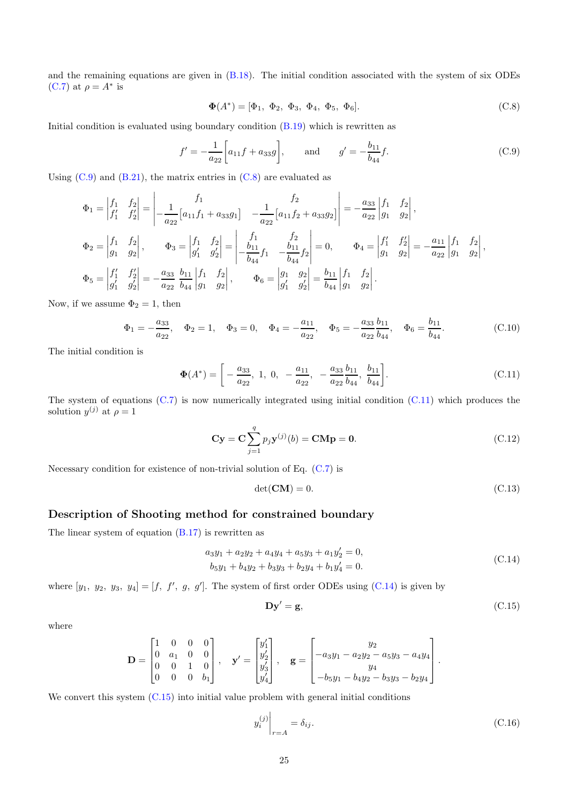and the remaining equations are given in [\(B.18\)](#page-21-4). The initial condition associated with the system of six ODEs [\(C.7\)](#page-23-2) at  $\rho = A^*$  is

<span id="page-24-1"></span>
$$
\mathbf{\Phi}(A^*) = [\Phi_1, \ \Phi_2, \ \Phi_3, \ \Phi_4, \ \Phi_5, \ \Phi_6]. \tag{C.8}
$$

Initial condition is evaluated using boundary condition [\(B.19\)](#page-21-6) which is rewritten as

<span id="page-24-0"></span>
$$
f' = -\frac{1}{a_{22}} \left[ a_{11} f + a_{33} g \right], \quad \text{and} \quad g' = -\frac{b_{11}}{b_{44}} f. \tag{C.9}
$$

Using  $(C.9)$  and  $(B.21)$ , the matrix entries in  $(C.8)$  are evaluated as

j

$$
\Phi_1 = \begin{vmatrix} f_1 & f_2 \\ f'_1 & f'_2 \end{vmatrix} = \begin{vmatrix} f_1 & f_2 \\ -\frac{1}{a_{22}} \left[ a_{11} f_1 + a_{33} g_1 \right] & -\frac{1}{a_{22}} \left[ a_{11} f_2 + a_{33} g_2 \right] \end{vmatrix} = -\frac{a_{33}}{a_{22}} \begin{vmatrix} f_1 & f_2 \\ g_1 & g_2 \end{vmatrix},
$$
  
\n
$$
\Phi_2 = \begin{vmatrix} f_1 & f_2 \\ g_1 & g_2 \end{vmatrix}, \qquad \Phi_3 = \begin{vmatrix} f_1 & f_2 \\ g'_1 & g'_2 \end{vmatrix} = \begin{vmatrix} f_1 & f_2 \\ -\frac{b_{11}}{b_{44}} f_1 & -\frac{b_{11}}{b_{44}} f_2 \end{vmatrix} = 0, \qquad \Phi_4 = \begin{vmatrix} f'_1 & f'_2 \\ g_1 & g_2 \end{vmatrix} = -\frac{a_{11}}{a_{22}} \begin{vmatrix} f_1 & f_2 \\ g_1 & g_2 \end{vmatrix},
$$
  
\n
$$
\Phi_5 = \begin{vmatrix} f'_1 & f'_2 \\ g'_1 & g'_2 \end{vmatrix} = -\frac{a_{33}}{a_{22}} \frac{b_{11}}{b_{44}} \begin{vmatrix} f_1 & f_2 \\ g_1 & g_2 \end{vmatrix}, \qquad \Phi_6 = \begin{vmatrix} g_1 & g_2 \\ g'_1 & g'_2 \end{vmatrix} = \frac{b_{11}}{b_{44}} \begin{vmatrix} f_1 & f_2 \\ g_1 & g_2 \end{vmatrix}.
$$

Now, if we assume  $\Phi_2 = 1$ , then

$$
\Phi_1 = -\frac{a_{33}}{a_{22}}, \quad \Phi_2 = 1, \quad \Phi_3 = 0, \quad \Phi_4 = -\frac{a_{11}}{a_{22}}, \quad \Phi_5 = -\frac{a_{33}}{a_{22}}\frac{b_{11}}{b_{44}}, \quad \Phi_6 = \frac{b_{11}}{b_{44}}.\tag{C.10}
$$

The initial condition is

$$
\Phi(A^*) = \left[ -\frac{a_{33}}{a_{22}}, 1, 0, -\frac{a_{11}}{a_{22}}, -\frac{a_{33}}{a_{22}} \frac{b_{11}}{b_{44}}, \frac{b_{11}}{b_{44}} \right].
$$
 (C.11)

The system of equations [\(C.7\)](#page-23-2) is now numerically integrated using initial condition [\(C.11\)](#page-24-2) which produces the solution  $y^{(j)}$  at  $\rho = 1$ 

$$
\mathbf{C}\mathbf{y} = \mathbf{C} \sum_{j=1}^{q} p_j \mathbf{y}^{(j)}(b) = \mathbf{C}\mathbf{M}\mathbf{p} = \mathbf{0}.
$$
 (C.12)

Necessary condition for existence of non-trivial solution of Eq.  $(C.7)$  is

<span id="page-24-2"></span>
$$
\det(\mathbf{CM}) = 0. \tag{C.13}
$$

### Description of Shooting method for constrained boundary

The linear system of equation  $(B.17)$  is rewritten as

<span id="page-24-3"></span>
$$
a_3y_1 + a_2y_2 + a_4y_4 + a_5y_3 + a_1y_2' = 0,
$$
  
\n
$$
b_5y_1 + b_4y_2 + b_3y_3 + b_2y_4 + b_1y_4' = 0.
$$
\n(C.14)

where  $[y_1, y_2, y_3, y_4] = [f, f', g, g']$ . The system of first order ODEs using [\(C.14\)](#page-24-3) is given by

<span id="page-24-4"></span>
$$
Dy' = g,\t\t(C.15)
$$

where

$$
\mathbf{D} = \begin{bmatrix} 1 & 0 & 0 & 0 \\ 0 & a_1 & 0 & 0 \\ 0 & 0 & 1 & 0 \\ 0 & 0 & 0 & b_1 \end{bmatrix}, \quad \mathbf{y}' = \begin{bmatrix} y'_1 \\ y'_2 \\ y'_3 \\ y'_4 \end{bmatrix}, \quad \mathbf{g} = \begin{bmatrix} y_2 \\ -a_3y_1 - a_2y_2 - a_5y_3 - a_4y_4 \\ y_4 \\ -b_5y_1 - b_4y_2 - b_3y_3 - b_2y_4 \end{bmatrix}.
$$

We convert this system  $(C.15)$  into initial value problem with general initial conditions

<span id="page-24-5"></span>
$$
y_i^{(j)}\Big|_{r=A} = \delta_{ij}.\tag{C.16}
$$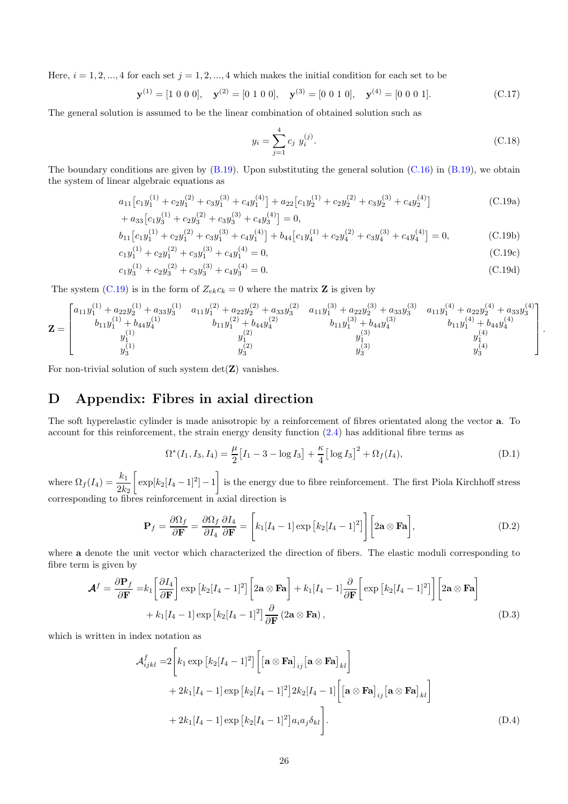Here,  $i = 1, 2, ..., 4$  for each set  $j = 1, 2, ..., 4$  which makes the initial condition for each set to be

$$
\mathbf{y}^{(1)} = [1 \ 0 \ 0 \ 0], \quad \mathbf{y}^{(2)} = [0 \ 1 \ 0 \ 0], \quad \mathbf{y}^{(3)} = [0 \ 0 \ 1 \ 0], \quad \mathbf{y}^{(4)} = [0 \ 0 \ 0 \ 1]. \tag{C.17}
$$

The general solution is assumed to be the linear combination of obtained solution such as

$$
y_i = \sum_{j=1}^{4} c_j \ y_i^{(j)}.
$$
 (C.18)

<span id="page-25-1"></span>.

The boundary conditions are given by  $(B.19)$ . Upon substituting the general solution  $(C.16)$  in  $(B.19)$ , we obtain the system of linear algebraic equations as

$$
a_{11}\left[c_{1}y_{1}^{(1)}+c_{2}y_{1}^{(2)}+c_{3}y_{1}^{(3)}+c_{4}y_{1}^{(4)}\right]+a_{22}\left[c_{1}y_{2}^{(1)}+c_{2}y_{2}^{(2)}+c_{3}y_{2}^{(3)}+c_{4}y_{2}^{(4)}\right]
$$
\n
$$
+a_{33}\left[c_{1}y_{3}^{(1)}+c_{2}y_{3}^{(2)}+c_{3}y_{3}^{(3)}+c_{4}y_{3}^{(4)}\right]=0,
$$
\n(C.19a)

$$
b_{11}\left[c_{1}y_{1}^{(1)}+c_{2}y_{1}^{(2)}+c_{3}y_{1}^{(3)}+c_{4}y_{1}^{(4)}\right]+b_{44}\left[c_{1}y_{4}^{(1)}+c_{2}y_{4}^{(2)}+c_{3}y_{4}^{(3)}+c_{4}y_{4}^{(4)}\right]=0,
$$
\n(C.19b)

$$
{}_1y_1^{(1)} + c_2y_1^{(2)} + c_3y_1^{(3)} + c_4y_1^{(4)} = 0,
$$
\n(C.19c)

$$
c_1 y_3^{(1)} + c_2 y_3^{(2)} + c_3 y_3^{(3)} + c_4 y_3^{(4)} = 0.
$$
\n(C.19d)

The system [\(C.19\)](#page-25-1) is in the form of  $Z_{ek}c_k = 0$  where the matrix **Z** is given by

$$
\mathbf{Z} = \begin{bmatrix} a_{11}y_1^{(1)} + a_{22}y_2^{(1)} + a_{33}y_3^{(1)} & a_{11}y_1^{(2)} + a_{22}y_2^{(2)} + a_{33}y_3^{(2)} & a_{11}y_1^{(3)} + a_{22}y_2^{(3)} + a_{33}y_3^{(3)} & a_{11}y_1^{(4)} + a_{22}y_2^{(4)} + a_{33}y_3^{(4)} \\ b_{11}y_1^{(1)} + b_{44}y_4^{(1)} & b_{11}y_1^{(2)} + b_{44}y_4^{(2)} & b_{11}y_1^{(3)} + b_{44}y_4^{(3)} & b_{11}y_1^{(4)} + b_{44}y_4^{(4)} \\ y_1^{(1)} & y_1^{(2)} & y_3^{(3)} & y_3^{(4)} & y_3^{(4)} \\ y_3^{(1)} & y_3^{(2)} & y_3^{(3)} & y_3^{(4)} \end{bmatrix}
$$

For non-trivial solution of such system  $det(Z)$  vanishes.

 $\boldsymbol{c}$ 

# <span id="page-25-0"></span>D Appendix: Fibres in axial direction

The soft hyperelastic cylinder is made anisotropic by a reinforcement of fibres orientated along the vector a. To account for this reinforcement, the strain energy density function [\(2.4\)](#page-2-1) has additional fibre terms as

$$
\Omega^*(I_1, I_3, I_4) = \frac{\mu}{2} \left[ I_1 - 3 - \log I_3 \right] + \frac{\kappa}{4} \left[ \log I_3 \right]^2 + \Omega_f(I_4),\tag{D.1}
$$

where  $\Omega_f(I_4) = \frac{k_1}{2k_2}$  $\int \exp[k_2[I_4-1]^2]-1$ 1 is the energy due to fibre reinforcement. The first Piola Kirchhoff stress corresponding to fibres reinforcement in axial direction is

$$
\mathbf{P}_f = \frac{\partial \Omega_f}{\partial \mathbf{F}} = \frac{\partial \Omega_f}{\partial I_4} \frac{\partial I_4}{\partial \mathbf{F}} = \left[ k_1 [I_4 - 1] \exp \left[ k_2 [I_4 - 1]^2 \right] \right] \left[ 2\mathbf{a} \otimes \mathbf{F} \mathbf{a} \right],\tag{D.2}
$$

where a denote the unit vector which characterized the direction of fibers. The elastic moduli corresponding to fibre term is given by

$$
\mathbf{\mathcal{A}}^{f} = \frac{\partial \mathbf{P}_{f}}{\partial \mathbf{F}} = k_{1} \left[ \frac{\partial I_{4}}{\partial \mathbf{F}} \right] \exp \left[ k_{2} [I_{4} - 1]^{2} \right] \left[ 2\mathbf{a} \otimes \mathbf{F} \mathbf{a} \right] + k_{1} [I_{4} - 1] \frac{\partial}{\partial \mathbf{F}} \left[ \exp \left[ k_{2} [I_{4} - 1]^{2} \right] \right] \left[ 2\mathbf{a} \otimes \mathbf{F} \mathbf{a} \right] + k_{1} [I_{4} - 1] \exp \left[ k_{2} [I_{4} - 1]^{2} \right] \frac{\partial}{\partial \mathbf{F}} \left( 2\mathbf{a} \otimes \mathbf{F} \mathbf{a} \right), \tag{D.3}
$$

which is written in index notation as

<span id="page-25-2"></span>
$$
\mathcal{A}_{ijkl}^{f} = 2 \left[ k_1 \exp \left[ k_2 [I_4 - 1]^2 \right] \left[ \left[ \mathbf{a} \otimes \mathbf{F} \mathbf{a} \right]_{ij} \left[ \mathbf{a} \otimes \mathbf{F} \mathbf{a} \right]_{kl} \right] \n+ 2k_1 [I_4 - 1] \exp \left[ k_2 [I_4 - 1]^2 \right] 2k_2 [I_4 - 1] \left[ \left[ \mathbf{a} \otimes \mathbf{F} \mathbf{a} \right]_{ij} \left[ \mathbf{a} \otimes \mathbf{F} \mathbf{a} \right]_{kl} \right] \n+ 2k_1 [I_4 - 1] \exp \left[ k_2 [I_4 - 1]^2 \right] a_i a_j \delta_{kl} \right].
$$
\n(D.4)